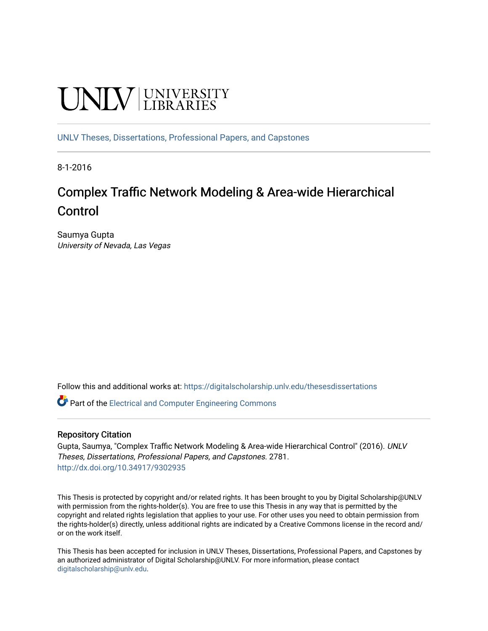# **UNIVERSITY**

[UNLV Theses, Dissertations, Professional Papers, and Capstones](https://digitalscholarship.unlv.edu/thesesdissertations)

8-1-2016

### Complex Traffic Network Modeling & Area-wide Hierarchical Control

Saumya Gupta University of Nevada, Las Vegas

Follow this and additional works at: [https://digitalscholarship.unlv.edu/thesesdissertations](https://digitalscholarship.unlv.edu/thesesdissertations?utm_source=digitalscholarship.unlv.edu%2Fthesesdissertations%2F2781&utm_medium=PDF&utm_campaign=PDFCoverPages)

Part of the [Electrical and Computer Engineering Commons](http://network.bepress.com/hgg/discipline/266?utm_source=digitalscholarship.unlv.edu%2Fthesesdissertations%2F2781&utm_medium=PDF&utm_campaign=PDFCoverPages) 

### Repository Citation

Gupta, Saumya, "Complex Traffic Network Modeling & Area-wide Hierarchical Control" (2016). UNLV Theses, Dissertations, Professional Papers, and Capstones. 2781. <http://dx.doi.org/10.34917/9302935>

This Thesis is protected by copyright and/or related rights. It has been brought to you by Digital Scholarship@UNLV with permission from the rights-holder(s). You are free to use this Thesis in any way that is permitted by the copyright and related rights legislation that applies to your use. For other uses you need to obtain permission from the rights-holder(s) directly, unless additional rights are indicated by a Creative Commons license in the record and/ or on the work itself.

This Thesis has been accepted for inclusion in UNLV Theses, Dissertations, Professional Papers, and Capstones by an authorized administrator of Digital Scholarship@UNLV. For more information, please contact [digitalscholarship@unlv.edu](mailto:digitalscholarship@unlv.edu).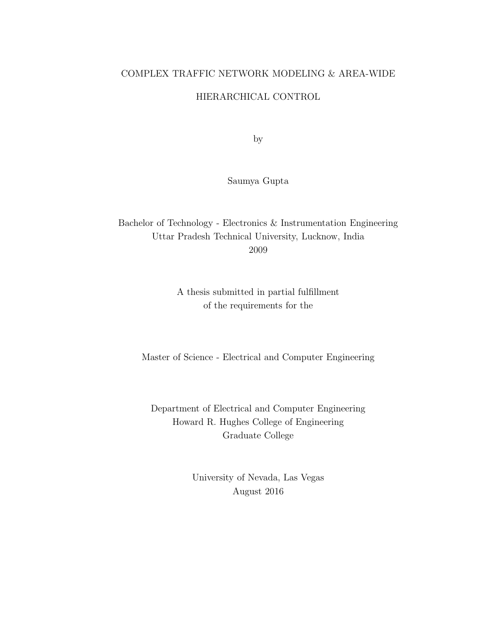### COMPLEX TRAFFIC NETWORK MODELING & AREA-WIDE

### HIERARCHICAL CONTROL

by

Saumya Gupta

Bachelor of Technology - Electronics & Instrumentation Engineering Uttar Pradesh Technical University, Lucknow, India 2009

> A thesis submitted in partial fulfillment of the requirements for the

Master of Science - Electrical and Computer Engineering

Department of Electrical and Computer Engineering Howard R. Hughes College of Engineering Graduate College

> University of Nevada, Las Vegas August 2016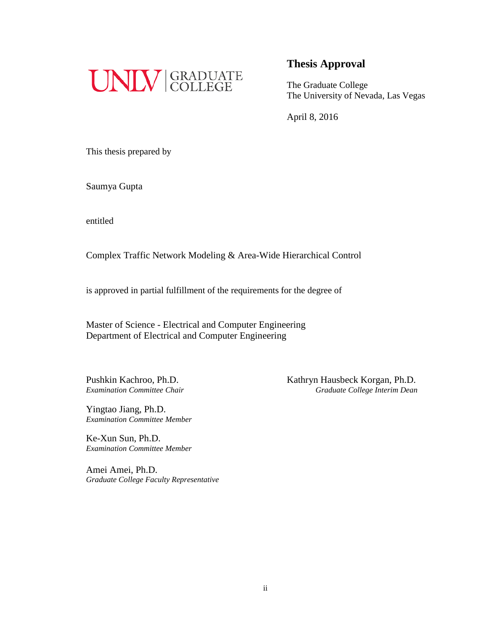

The Graduate College The University of Nevada, Las Vegas

April 8, 2016

This thesis prepared by

Saumya Gupta

entitled

Complex Traffic Network Modeling & Area-Wide Hierarchical Control

is approved in partial fulfillment of the requirements for the degree of

Master of Science - Electrical and Computer Engineering Department of Electrical and Computer Engineering

Yingtao Jiang, Ph.D. *Examination Committee Member*

Ke-Xun Sun, Ph.D. *Examination Committee Member*

Amei Amei, Ph.D. *Graduate College Faculty Representative*

Pushkin Kachroo, Ph.D.<br>
Examination Committee Chair<br>
Graduate College Interim Dean *Examination Committee Chair Graduate College Interim Dean*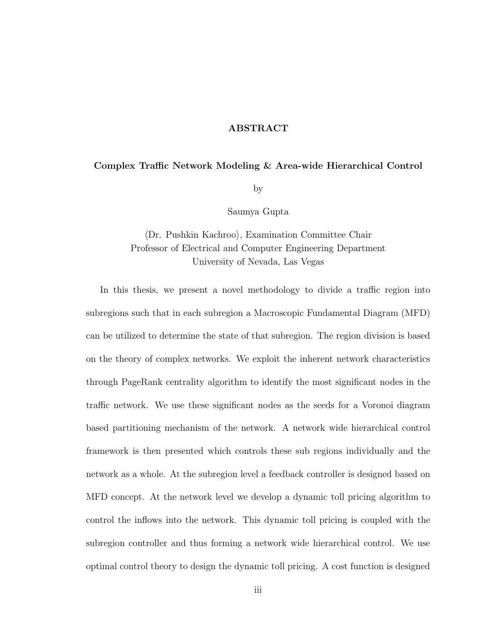### ABSTRACT

### Complex Traffic Network Modeling & Area-wide Hierarchical Control

by

Saumya Gupta

### (Dr. Pushkin Kachroo), Examination Committee Chair Professor of Electrical and Computer Engineering Department University of Nevada, Las Vegas

In this thesis, we present a novel methodology to divide a traffic region into subregions such that in each subregion a Macroscopic Fundamental Diagram (MFD) can be utilized to determine the state of that subregion. The region division is based on the theory of complex networks. We exploit the inherent network characteristics through PageRank centrality algorithm to identify the most significant nodes in the traffic network. We use these significant nodes as the seeds for a Voronoi diagram based partitioning mechanism of the network. A network wide hierarchical control framework is then presented which controls these sub regions individually and the network as a whole. At the subregion level a feedback controller is designed based on MFD concept. At the network level we develop a dynamic toll pricing algorithm to control the inflows into the network. This dynamic toll pricing is coupled with the subregion controller and thus forming a network wide hierarchical control. We use optimal control theory to design the dynamic toll pricing. A cost function is designed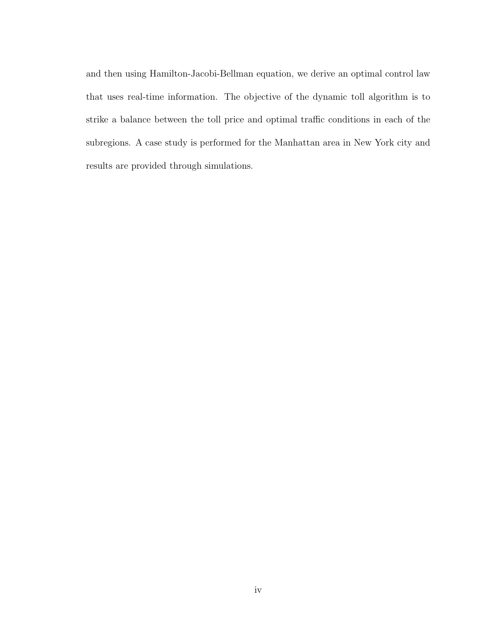and then using Hamilton-Jacobi-Bellman equation, we derive an optimal control law that uses real-time information. The objective of the dynamic toll algorithm is to strike a balance between the toll price and optimal traffic conditions in each of the subregions. A case study is performed for the Manhattan area in New York city and results are provided through simulations.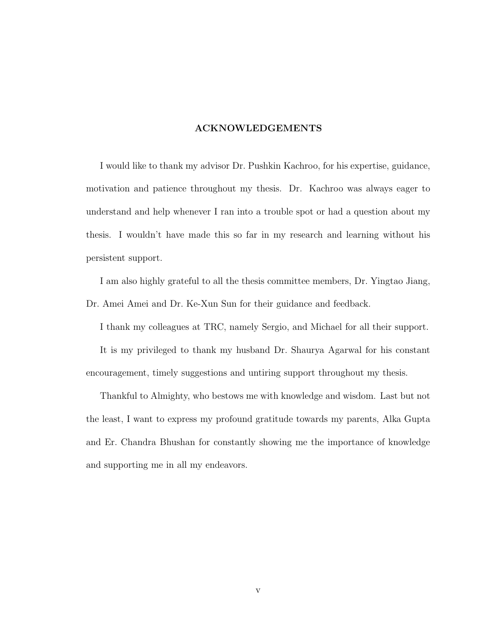### ACKNOWLEDGEMENTS

I would like to thank my advisor Dr. Pushkin Kachroo, for his expertise, guidance, motivation and patience throughout my thesis. Dr. Kachroo was always eager to understand and help whenever I ran into a trouble spot or had a question about my thesis. I wouldn't have made this so far in my research and learning without his persistent support.

I am also highly grateful to all the thesis committee members, Dr. Yingtao Jiang, Dr. Amei Amei and Dr. Ke-Xun Sun for their guidance and feedback.

I thank my colleagues at TRC, namely Sergio, and Michael for all their support.

It is my privileged to thank my husband Dr. Shaurya Agarwal for his constant encouragement, timely suggestions and untiring support throughout my thesis.

Thankful to Almighty, who bestows me with knowledge and wisdom. Last but not the least, I want to express my profound gratitude towards my parents, Alka Gupta and Er. Chandra Bhushan for constantly showing me the importance of knowledge and supporting me in all my endeavors.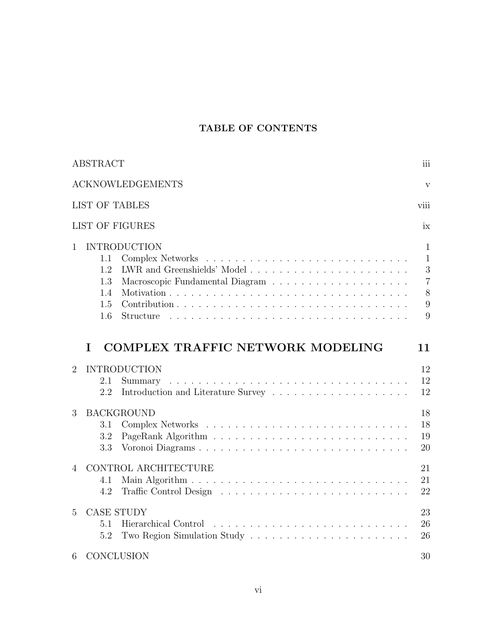### TABLE OF CONTENTS

|                | <b>ABSTRACT</b>                                                                | iii                                                                |
|----------------|--------------------------------------------------------------------------------|--------------------------------------------------------------------|
|                | <b>ACKNOWLEDGEMENTS</b>                                                        | $\mathbf{V}$                                                       |
|                | <b>LIST OF TABLES</b><br>viii                                                  |                                                                    |
|                | <b>LIST OF FIGURES</b>                                                         | ix                                                                 |
| $\mathbf{1}$   | <b>INTRODUCTION</b><br>1.1<br>1.2<br>1.3<br>1.4<br>1.5<br>$1.6\,$<br>Structure | $\mathbf{1}$<br>$\mathbf{1}$<br>3<br>$\overline{7}$<br>8<br>9<br>9 |
|                | <b>COMPLEX TRAFFIC NETWORK MODELING</b><br>I<br>11                             |                                                                    |
| $\overline{2}$ | <b>INTRODUCTION</b><br>2.1<br>Summary<br>2.2                                   | 12<br>12<br>12                                                     |
| 3              | <b>BACKGROUND</b><br>3.1<br>3.2<br>3.3<br>Voronoi Diagrams                     | 18<br>18<br>19<br>20                                               |
| 4              | CONTROL ARCHITECTURE<br>4.1                                                    |                                                                    |
|                | 4.2                                                                            | 21<br>21<br>22                                                     |
| 5              | <b>CASE STUDY</b><br>5.1<br>5.2                                                | 23<br>26<br>26                                                     |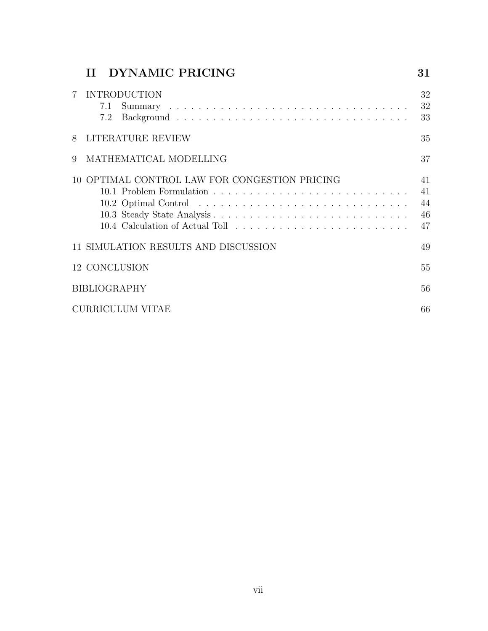|   | II DYNAMIC PRICING                            | 31                             |
|---|-----------------------------------------------|--------------------------------|
|   | <b>INTRODUCTION</b><br>7.1<br>7.2             | 32<br>32<br>33                 |
| 8 | LITERATURE REVIEW                             | 35                             |
| 9 | MATHEMATICAL MODELLING                        | 37                             |
|   | 10 OPTIMAL CONTROL LAW FOR CONGESTION PRICING | 41<br>41<br>44<br>46<br>$47\,$ |
|   | 11 SIMULATION RESULTS AND DISCUSSION          | 49                             |
|   | 12 CONCLUSION                                 | 55                             |
|   | <b>BIBLIOGRAPHY</b>                           | 56                             |
|   | <b>CURRICULUM VITAE</b>                       | 66                             |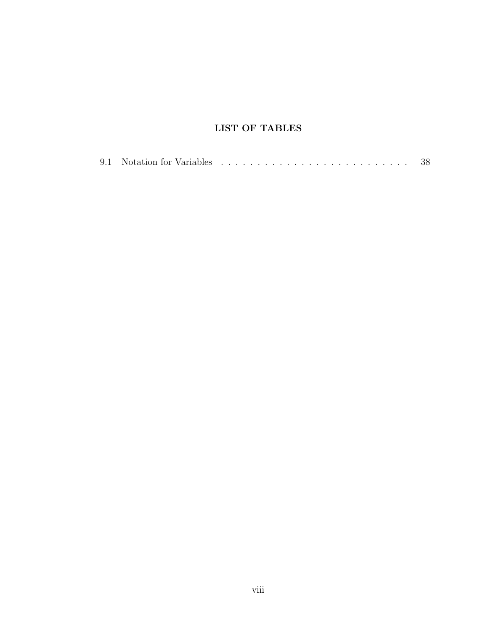### LIST OF TABLES

|  |  |  |  |  |  |  |  |  |  |  |  |  |  |  |  |  |  |  |  |  |  |  |  |  |  |  |  |  |  | -38 |
|--|--|--|--|--|--|--|--|--|--|--|--|--|--|--|--|--|--|--|--|--|--|--|--|--|--|--|--|--|--|-----|
|--|--|--|--|--|--|--|--|--|--|--|--|--|--|--|--|--|--|--|--|--|--|--|--|--|--|--|--|--|--|-----|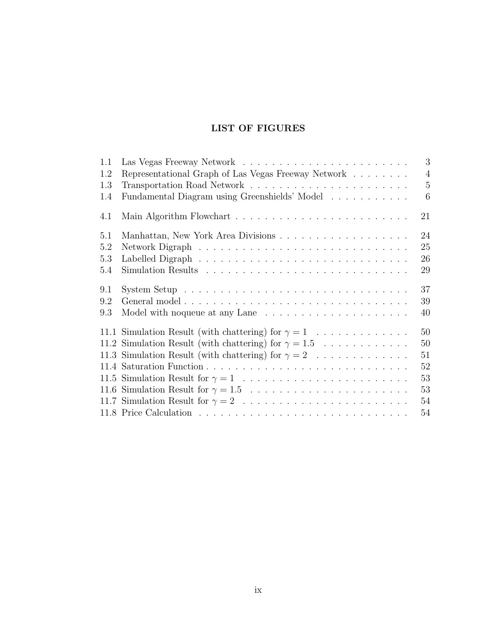### LIST OF FIGURES

| 1.1 | 3                                                                                                 |
|-----|---------------------------------------------------------------------------------------------------|
| 1.2 | Representational Graph of Las Vegas Freeway Network $\ldots \ldots \ldots$<br>$\overline{4}$      |
| 1.3 | $\overline{5}$                                                                                    |
| 1.4 | Fundamental Diagram using Greenshields' Model<br>6                                                |
| 4.1 | 21                                                                                                |
| 5.1 | 24                                                                                                |
| 5.2 | 25                                                                                                |
| 5.3 | 26                                                                                                |
| 5.4 | 29                                                                                                |
| 9.1 | 37<br>System Setup $\ldots \ldots \ldots \ldots \ldots \ldots \ldots \ldots \ldots \ldots \ldots$ |
| 9.2 | 39                                                                                                |
| 9.3 | 40                                                                                                |
|     | 11.1 Simulation Result (with chattering) for $\gamma = 1$<br>50                                   |
|     | 11.2 Simulation Result (with chattering) for $\gamma = 1.5$<br>50                                 |
|     | 11.3 Simulation Result (with chattering) for $\gamma = 2$<br>51                                   |
|     | 52                                                                                                |
|     | 53                                                                                                |
|     | 53                                                                                                |
|     | 54                                                                                                |
|     | 54                                                                                                |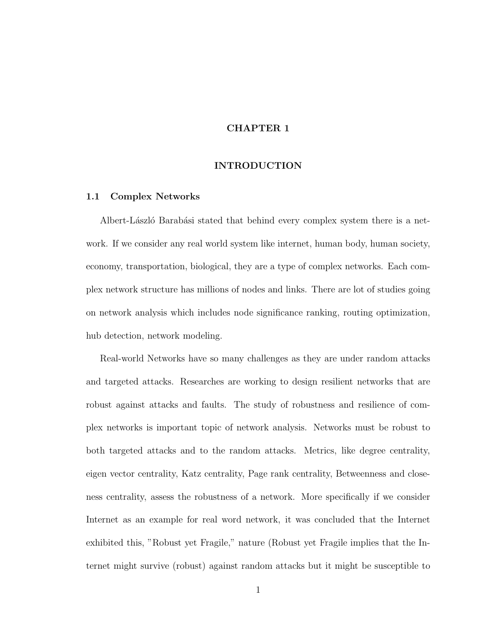### CHAPTER 1

### INTRODUCTION

### 1.1 Complex Networks

Albert-László Barabási stated that behind every complex system there is a network. If we consider any real world system like internet, human body, human society, economy, transportation, biological, they are a type of complex networks. Each complex network structure has millions of nodes and links. There are lot of studies going on network analysis which includes node significance ranking, routing optimization, hub detection, network modeling.

Real-world Networks have so many challenges as they are under random attacks and targeted attacks. Researches are working to design resilient networks that are robust against attacks and faults. The study of robustness and resilience of complex networks is important topic of network analysis. Networks must be robust to both targeted attacks and to the random attacks. Metrics, like degree centrality, eigen vector centrality, Katz centrality, Page rank centrality, Betweenness and closeness centrality, assess the robustness of a network. More specifically if we consider Internet as an example for real word network, it was concluded that the Internet exhibited this, "Robust yet Fragile," nature (Robust yet Fragile implies that the Internet might survive (robust) against random attacks but it might be susceptible to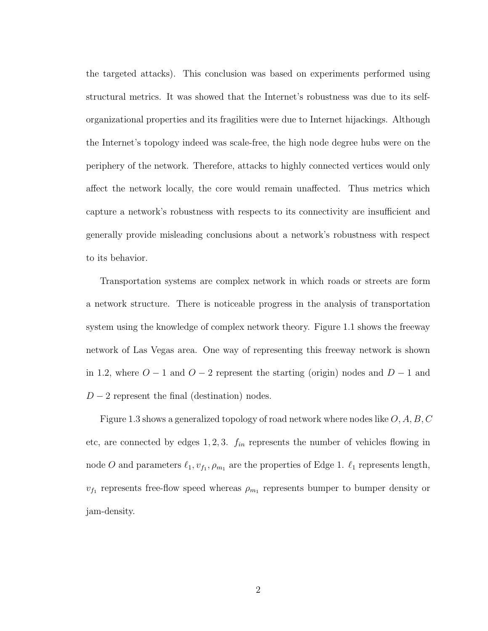the targeted attacks). This conclusion was based on experiments performed using structural metrics. It was showed that the Internet's robustness was due to its selforganizational properties and its fragilities were due to Internet hijackings. Although the Internet's topology indeed was scale-free, the high node degree hubs were on the periphery of the network. Therefore, attacks to highly connected vertices would only affect the network locally, the core would remain unaffected. Thus metrics which capture a network's robustness with respects to its connectivity are insufficient and generally provide misleading conclusions about a network's robustness with respect to its behavior.

Transportation systems are complex network in which roads or streets are form a network structure. There is noticeable progress in the analysis of transportation system using the knowledge of complex network theory. Figure 1.1 shows the freeway network of Las Vegas area. One way of representing this freeway network is shown in 1.2, where  $O - 1$  and  $O - 2$  represent the starting (origin) nodes and  $D - 1$  and  $D-2$  represent the final (destination) nodes.

Figure 1.3 shows a generalized topology of road network where nodes like  $O, A, B, C$ etc, are connected by edges  $1, 2, 3$ .  $f_{in}$  represents the number of vehicles flowing in node O and parameters  $\ell_1, v_{f_1}, \rho_{m_1}$  are the properties of Edge 1.  $\ell_1$  represents length,  $v_{f_1}$  represents free-flow speed whereas  $\rho_{m_1}$  represents bumper to bumper density or jam-density.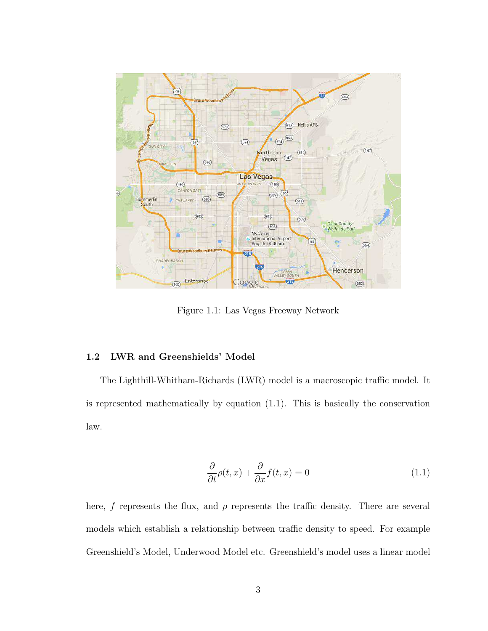

Figure 1.1: Las Vegas Freeway Network

### 1.2 LWR and Greenshields' Model

The Lighthill-Whitham-Richards (LWR) model is a macroscopic traffic model. It is represented mathematically by equation (1.1). This is basically the conservation law.

$$
\frac{\partial}{\partial t}\rho(t,x) + \frac{\partial}{\partial x}f(t,x) = 0\tag{1.1}
$$

here, f represents the flux, and  $\rho$  represents the traffic density. There are several models which establish a relationship between traffic density to speed. For example Greenshield's Model, Underwood Model etc. Greenshield's model uses a linear model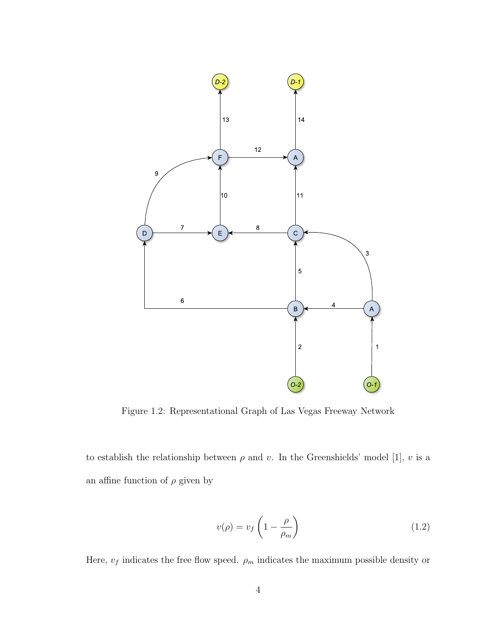

Figure 1.2: Representational Graph of Las Vegas Freeway Network

to establish the relationship between  $\rho$  and  $v$ . In the Greenshields' model [1],  $v$  is a an affine function of  $\rho$  given by

$$
v(\rho) = v_f \left( 1 - \frac{\rho}{\rho_m} \right) \tag{1.2}
$$

Here,  $v_f$  indicates the free flow speed.  $\rho_m$  indicates the maximum possible density or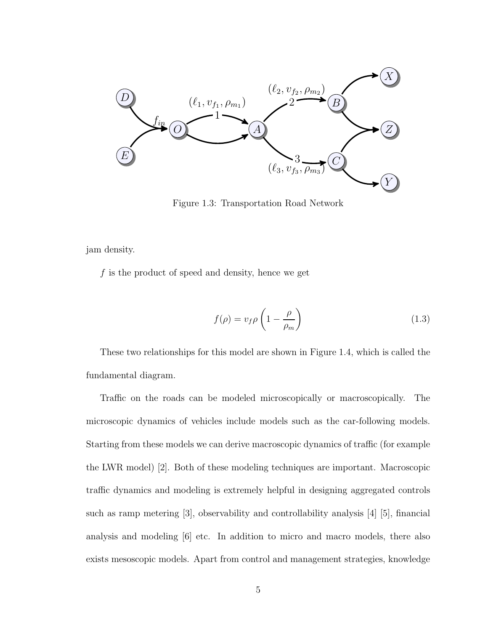

Figure 1.3: Transportation Road Network

jam density.

 $f$  is the product of speed and density, hence we get

$$
f(\rho) = v_f \rho \left( 1 - \frac{\rho}{\rho_m} \right) \tag{1.3}
$$

These two relationships for this model are shown in Figure 1.4, which is called the fundamental diagram.

Traffic on the roads can be modeled microscopically or macroscopically. The microscopic dynamics of vehicles include models such as the car-following models. Starting from these models we can derive macroscopic dynamics of traffic (for example the LWR model) [2]. Both of these modeling techniques are important. Macroscopic traffic dynamics and modeling is extremely helpful in designing aggregated controls such as ramp metering [3], observability and controllability analysis [4] [5], financial analysis and modeling [6] etc. In addition to micro and macro models, there also exists mesoscopic models. Apart from control and management strategies, knowledge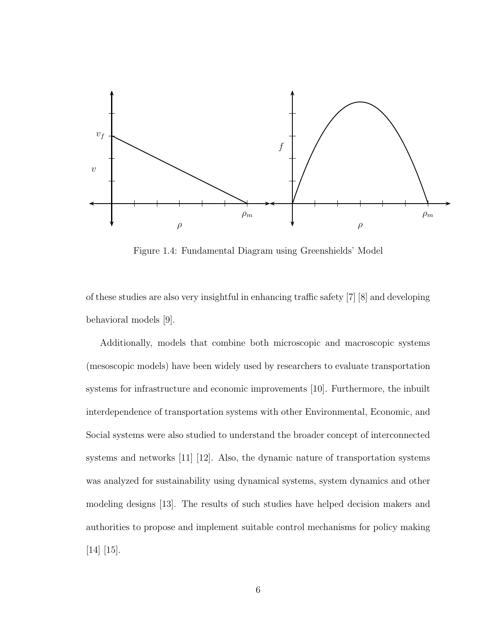

Figure 1.4: Fundamental Diagram using Greenshields' Model

of these studies are also very insightful in enhancing traffic safety [7] [8] and developing behavioral models [9].

Additionally, models that combine both microscopic and macroscopic systems (mesoscopic models) have been widely used by researchers to evaluate transportation systems for infrastructure and economic improvements [10]. Furthermore, the inbuilt interdependence of transportation systems with other Environmental, Economic, and Social systems were also studied to understand the broader concept of interconnected systems and networks [11] [12]. Also, the dynamic nature of transportation systems was analyzed for sustainability using dynamical systems, system dynamics and other modeling designs [13]. The results of such studies have helped decision makers and authorities to propose and implement suitable control mechanisms for policy making [14] [15].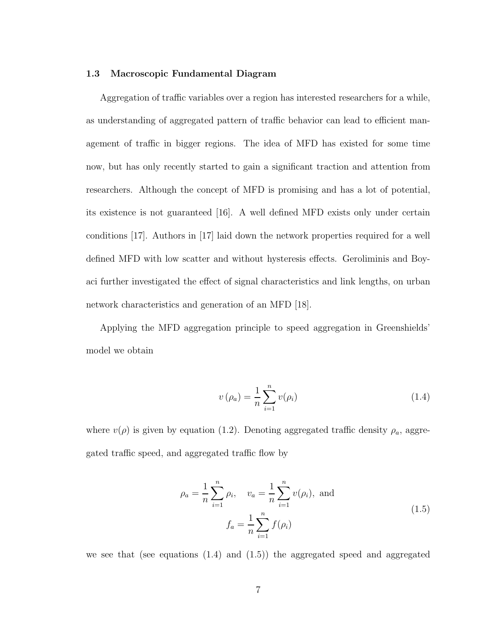### 1.3 Macroscopic Fundamental Diagram

Aggregation of traffic variables over a region has interested researchers for a while, as understanding of aggregated pattern of traffic behavior can lead to efficient management of traffic in bigger regions. The idea of MFD has existed for some time now, but has only recently started to gain a significant traction and attention from researchers. Although the concept of MFD is promising and has a lot of potential, its existence is not guaranteed [16]. A well defined MFD exists only under certain conditions [17]. Authors in [17] laid down the network properties required for a well defined MFD with low scatter and without hysteresis effects. Geroliminis and Boyaci further investigated the effect of signal characteristics and link lengths, on urban network characteristics and generation of an MFD [18].

Applying the MFD aggregation principle to speed aggregation in Greenshields' model we obtain

$$
v(\rho_a) = \frac{1}{n} \sum_{i=1}^{n} v(\rho_i)
$$
\n
$$
(1.4)
$$

where  $v(\rho)$  is given by equation (1.2). Denoting aggregated traffic density  $\rho_a$ , aggregated traffic speed, and aggregated traffic flow by

$$
\rho_a = \frac{1}{n} \sum_{i=1}^n \rho_i, \quad v_a = \frac{1}{n} \sum_{i=1}^n v(\rho_i), \text{ and}
$$
  

$$
f_a = \frac{1}{n} \sum_{i=1}^n f(\rho_i)
$$
 (1.5)

we see that (see equations  $(1.4)$  and  $(1.5)$ ) the aggregated speed and aggregated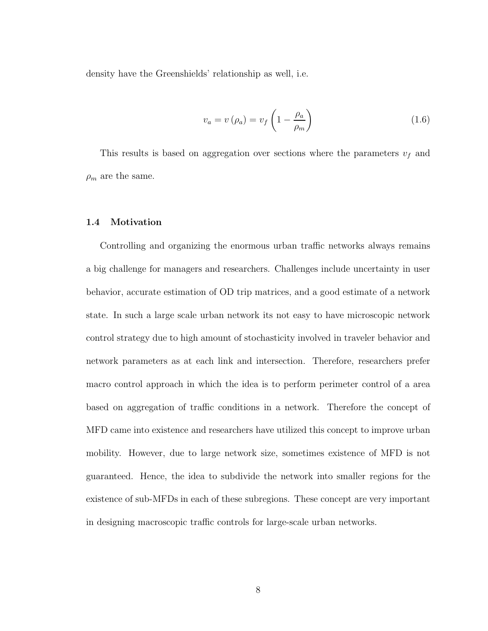density have the Greenshields' relationship as well, i.e.

$$
v_a = v \left( \rho_a \right) = v_f \left( 1 - \frac{\rho_a}{\rho_m} \right) \tag{1.6}
$$

This results is based on aggregation over sections where the parameters  $v_f$  and  $\rho_m$  are the same.

### 1.4 Motivation

Controlling and organizing the enormous urban traffic networks always remains a big challenge for managers and researchers. Challenges include uncertainty in user behavior, accurate estimation of OD trip matrices, and a good estimate of a network state. In such a large scale urban network its not easy to have microscopic network control strategy due to high amount of stochasticity involved in traveler behavior and network parameters as at each link and intersection. Therefore, researchers prefer macro control approach in which the idea is to perform perimeter control of a area based on aggregation of traffic conditions in a network. Therefore the concept of MFD came into existence and researchers have utilized this concept to improve urban mobility. However, due to large network size, sometimes existence of MFD is not guaranteed. Hence, the idea to subdivide the network into smaller regions for the existence of sub-MFDs in each of these subregions. These concept are very important in designing macroscopic traffic controls for large-scale urban networks.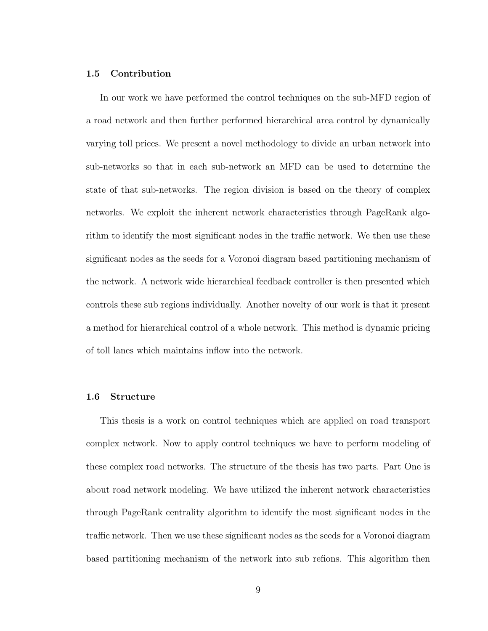### 1.5 Contribution

In our work we have performed the control techniques on the sub-MFD region of a road network and then further performed hierarchical area control by dynamically varying toll prices. We present a novel methodology to divide an urban network into sub-networks so that in each sub-network an MFD can be used to determine the state of that sub-networks. The region division is based on the theory of complex networks. We exploit the inherent network characteristics through PageRank algorithm to identify the most significant nodes in the traffic network. We then use these significant nodes as the seeds for a Voronoi diagram based partitioning mechanism of the network. A network wide hierarchical feedback controller is then presented which controls these sub regions individually. Another novelty of our work is that it present a method for hierarchical control of a whole network. This method is dynamic pricing of toll lanes which maintains inflow into the network.

### 1.6 Structure

This thesis is a work on control techniques which are applied on road transport complex network. Now to apply control techniques we have to perform modeling of these complex road networks. The structure of the thesis has two parts. Part One is about road network modeling. We have utilized the inherent network characteristics through PageRank centrality algorithm to identify the most significant nodes in the traffic network. Then we use these significant nodes as the seeds for a Voronoi diagram based partitioning mechanism of the network into sub refions. This algorithm then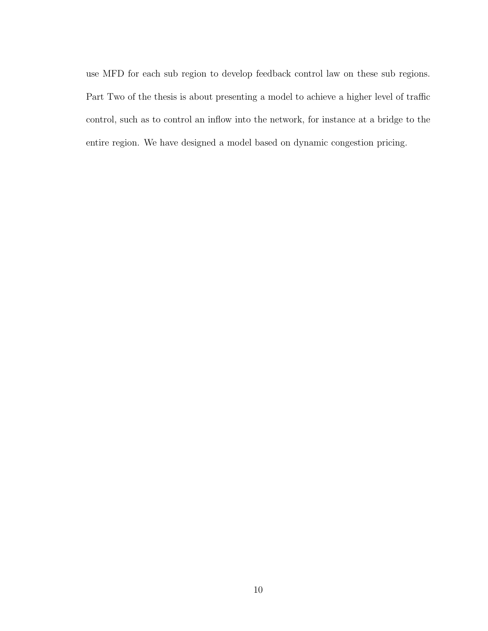use MFD for each sub region to develop feedback control law on these sub regions. Part Two of the thesis is about presenting a model to achieve a higher level of traffic control, such as to control an inflow into the network, for instance at a bridge to the entire region. We have designed a model based on dynamic congestion pricing.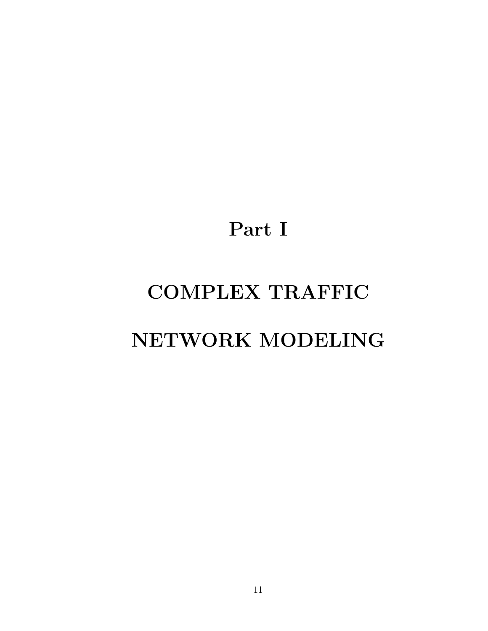Part I

# COMPLEX TRAFFIC

## NETWORK MODELING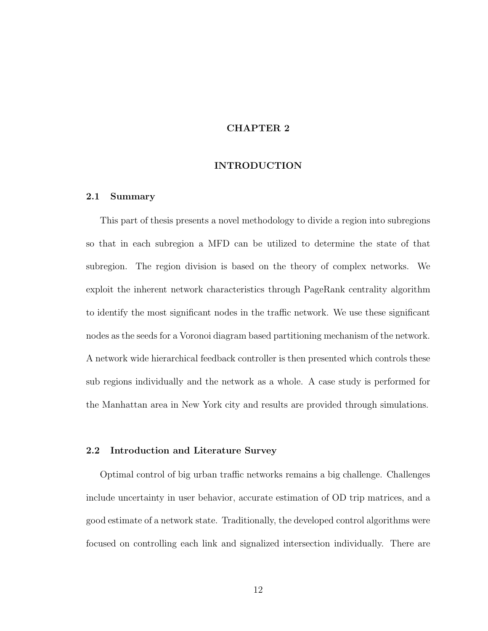### CHAPTER 2

### INTRODUCTION

### 2.1 Summary

This part of thesis presents a novel methodology to divide a region into subregions so that in each subregion a MFD can be utilized to determine the state of that subregion. The region division is based on the theory of complex networks. We exploit the inherent network characteristics through PageRank centrality algorithm to identify the most significant nodes in the traffic network. We use these significant nodes as the seeds for a Voronoi diagram based partitioning mechanism of the network. A network wide hierarchical feedback controller is then presented which controls these sub regions individually and the network as a whole. A case study is performed for the Manhattan area in New York city and results are provided through simulations.

### 2.2 Introduction and Literature Survey

Optimal control of big urban traffic networks remains a big challenge. Challenges include uncertainty in user behavior, accurate estimation of OD trip matrices, and a good estimate of a network state. Traditionally, the developed control algorithms were focused on controlling each link and signalized intersection individually. There are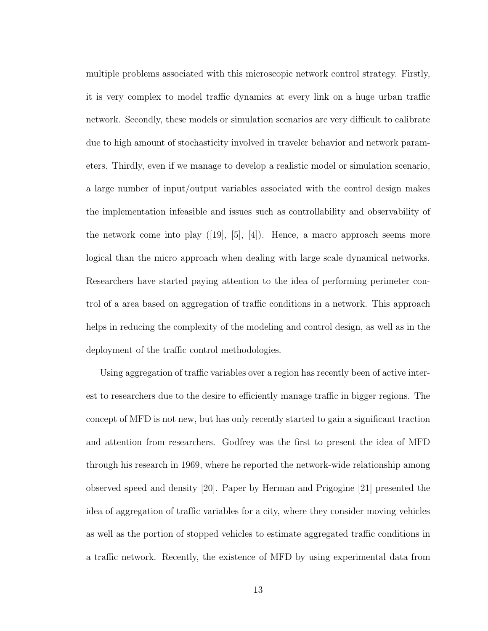multiple problems associated with this microscopic network control strategy. Firstly, it is very complex to model traffic dynamics at every link on a huge urban traffic network. Secondly, these models or simulation scenarios are very difficult to calibrate due to high amount of stochasticity involved in traveler behavior and network parameters. Thirdly, even if we manage to develop a realistic model or simulation scenario, a large number of input/output variables associated with the control design makes the implementation infeasible and issues such as controllability and observability of the network come into play  $([19], [5], [4])$ . Hence, a macro approach seems more logical than the micro approach when dealing with large scale dynamical networks. Researchers have started paying attention to the idea of performing perimeter control of a area based on aggregation of traffic conditions in a network. This approach helps in reducing the complexity of the modeling and control design, as well as in the deployment of the traffic control methodologies.

Using aggregation of traffic variables over a region has recently been of active interest to researchers due to the desire to efficiently manage traffic in bigger regions. The concept of MFD is not new, but has only recently started to gain a significant traction and attention from researchers. Godfrey was the first to present the idea of MFD through his research in 1969, where he reported the network-wide relationship among observed speed and density [20]. Paper by Herman and Prigogine [21] presented the idea of aggregation of traffic variables for a city, where they consider moving vehicles as well as the portion of stopped vehicles to estimate aggregated traffic conditions in a traffic network. Recently, the existence of MFD by using experimental data from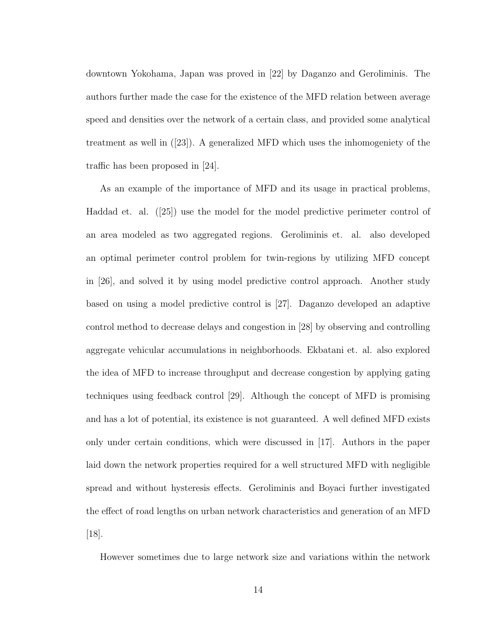downtown Yokohama, Japan was proved in [22] by Daganzo and Geroliminis. The authors further made the case for the existence of the MFD relation between average speed and densities over the network of a certain class, and provided some analytical treatment as well in ([23]). A generalized MFD which uses the inhomogeniety of the traffic has been proposed in [24].

As an example of the importance of MFD and its usage in practical problems, Haddad et. al. ([25]) use the model for the model predictive perimeter control of an area modeled as two aggregated regions. Geroliminis et. al. also developed an optimal perimeter control problem for twin-regions by utilizing MFD concept in [26], and solved it by using model predictive control approach. Another study based on using a model predictive control is [27]. Daganzo developed an adaptive control method to decrease delays and congestion in [28] by observing and controlling aggregate vehicular accumulations in neighborhoods. Ekbatani et. al. also explored the idea of MFD to increase throughput and decrease congestion by applying gating techniques using feedback control [29]. Although the concept of MFD is promising and has a lot of potential, its existence is not guaranteed. A well defined MFD exists only under certain conditions, which were discussed in [17]. Authors in the paper laid down the network properties required for a well structured MFD with negligible spread and without hysteresis effects. Geroliminis and Boyaci further investigated the effect of road lengths on urban network characteristics and generation of an MFD [18].

However sometimes due to large network size and variations within the network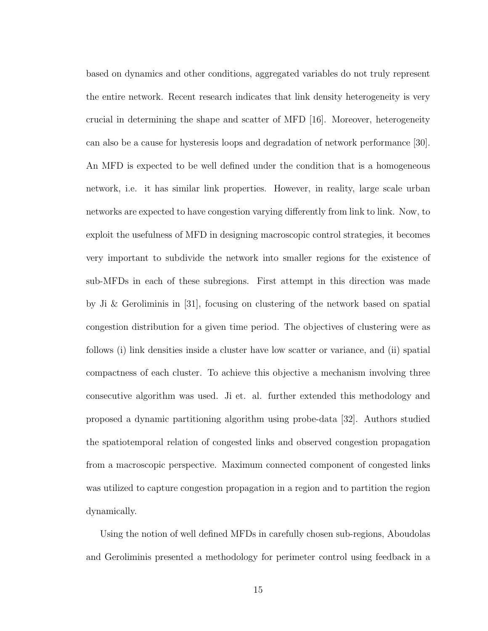based on dynamics and other conditions, aggregated variables do not truly represent the entire network. Recent research indicates that link density heterogeneity is very crucial in determining the shape and scatter of MFD [16]. Moreover, heterogeneity can also be a cause for hysteresis loops and degradation of network performance [30]. An MFD is expected to be well defined under the condition that is a homogeneous network, i.e. it has similar link properties. However, in reality, large scale urban networks are expected to have congestion varying differently from link to link. Now, to exploit the usefulness of MFD in designing macroscopic control strategies, it becomes very important to subdivide the network into smaller regions for the existence of sub-MFDs in each of these subregions. First attempt in this direction was made by Ji & Geroliminis in [31], focusing on clustering of the network based on spatial congestion distribution for a given time period. The objectives of clustering were as follows (i) link densities inside a cluster have low scatter or variance, and (ii) spatial compactness of each cluster. To achieve this objective a mechanism involving three consecutive algorithm was used. Ji et. al. further extended this methodology and proposed a dynamic partitioning algorithm using probe-data [32]. Authors studied the spatiotemporal relation of congested links and observed congestion propagation from a macroscopic perspective. Maximum connected component of congested links was utilized to capture congestion propagation in a region and to partition the region dynamically.

Using the notion of well defined MFDs in carefully chosen sub-regions, Aboudolas and Geroliminis presented a methodology for perimeter control using feedback in a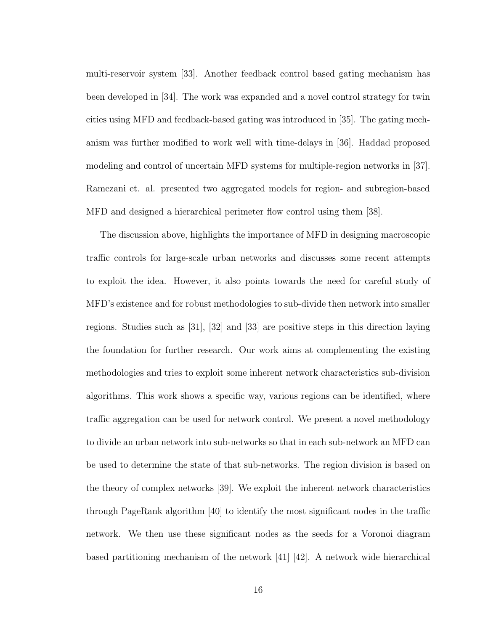multi-reservoir system [33]. Another feedback control based gating mechanism has been developed in [34]. The work was expanded and a novel control strategy for twin cities using MFD and feedback-based gating was introduced in [35]. The gating mechanism was further modified to work well with time-delays in [36]. Haddad proposed modeling and control of uncertain MFD systems for multiple-region networks in [37]. Ramezani et. al. presented two aggregated models for region- and subregion-based MFD and designed a hierarchical perimeter flow control using them [38].

The discussion above, highlights the importance of MFD in designing macroscopic traffic controls for large-scale urban networks and discusses some recent attempts to exploit the idea. However, it also points towards the need for careful study of MFD's existence and for robust methodologies to sub-divide then network into smaller regions. Studies such as [31], [32] and [33] are positive steps in this direction laying the foundation for further research. Our work aims at complementing the existing methodologies and tries to exploit some inherent network characteristics sub-division algorithms. This work shows a specific way, various regions can be identified, where traffic aggregation can be used for network control. We present a novel methodology to divide an urban network into sub-networks so that in each sub-network an MFD can be used to determine the state of that sub-networks. The region division is based on the theory of complex networks [39]. We exploit the inherent network characteristics through PageRank algorithm [40] to identify the most significant nodes in the traffic network. We then use these significant nodes as the seeds for a Voronoi diagram based partitioning mechanism of the network [41] [42]. A network wide hierarchical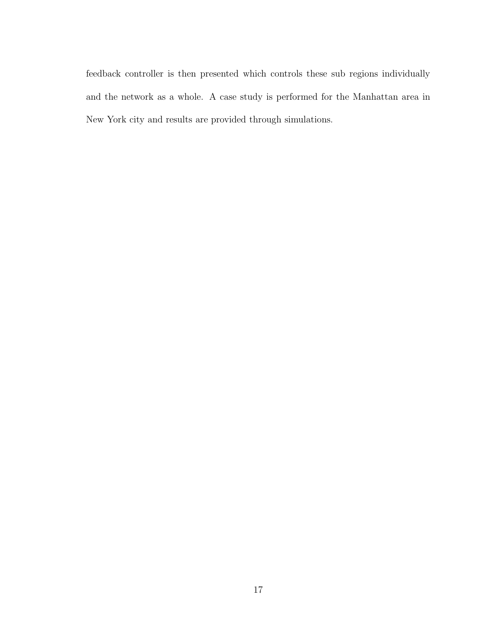feedback controller is then presented which controls these sub regions individually and the network as a whole. A case study is performed for the Manhattan area in New York city and results are provided through simulations.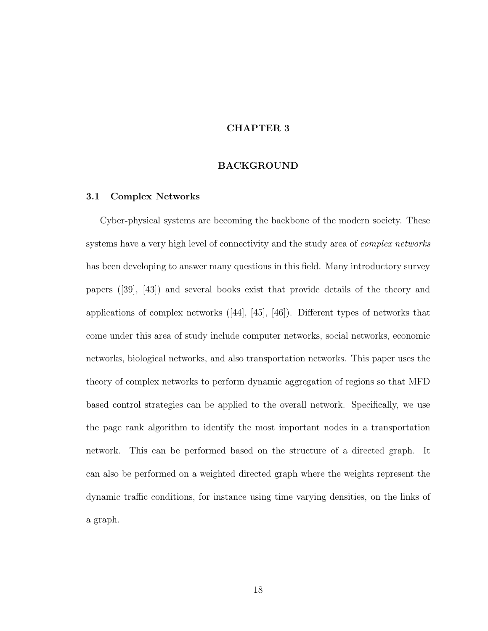### CHAPTER 3

### BACKGROUND

### 3.1 Complex Networks

Cyber-physical systems are becoming the backbone of the modern society. These systems have a very high level of connectivity and the study area of *complex networks* has been developing to answer many questions in this field. Many introductory survey papers ([39], [43]) and several books exist that provide details of the theory and applications of complex networks ([44], [45], [46]). Different types of networks that come under this area of study include computer networks, social networks, economic networks, biological networks, and also transportation networks. This paper uses the theory of complex networks to perform dynamic aggregation of regions so that MFD based control strategies can be applied to the overall network. Specifically, we use the page rank algorithm to identify the most important nodes in a transportation network. This can be performed based on the structure of a directed graph. It can also be performed on a weighted directed graph where the weights represent the dynamic traffic conditions, for instance using time varying densities, on the links of a graph.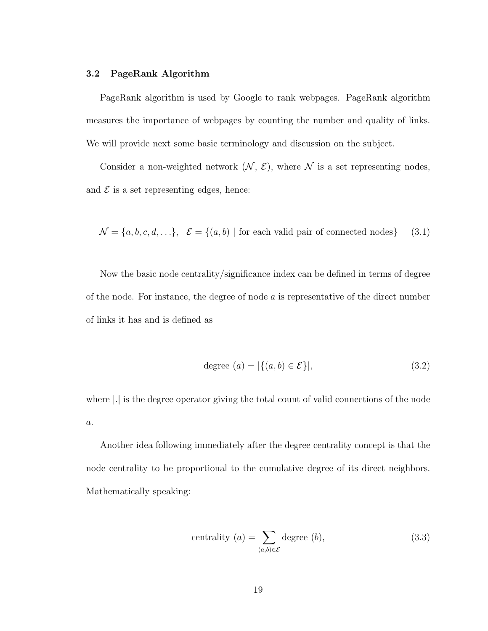### 3.2 PageRank Algorithm

PageRank algorithm is used by Google to rank webpages. PageRank algorithm measures the importance of webpages by counting the number and quality of links. We will provide next some basic terminology and discussion on the subject.

Consider a non-weighted network  $(N, \mathcal{E})$ , where N is a set representing nodes, and  $\mathcal E$  is a set representing edges, hence:

$$
\mathcal{N} = \{a, b, c, d, \ldots\}, \quad \mathcal{E} = \{(a, b) \mid \text{for each valid pair of connected nodes}\} \tag{3.1}
$$

Now the basic node centrality/significance index can be defined in terms of degree of the node. For instance, the degree of node  $a$  is representative of the direct number of links it has and is defined as

$$
degree (a) = |\{(a, b) \in \mathcal{E}\}|,
$$
\n
$$
(3.2)
$$

where |.| is the degree operator giving the total count of valid connections of the node  $\boldsymbol{a}.$ 

Another idea following immediately after the degree centrality concept is that the node centrality to be proportional to the cumulative degree of its direct neighbors. Mathematically speaking:

$$
centrality (a) = \sum_{(a,b)\in \mathcal{E}} \text{degree} (b), \tag{3.3}
$$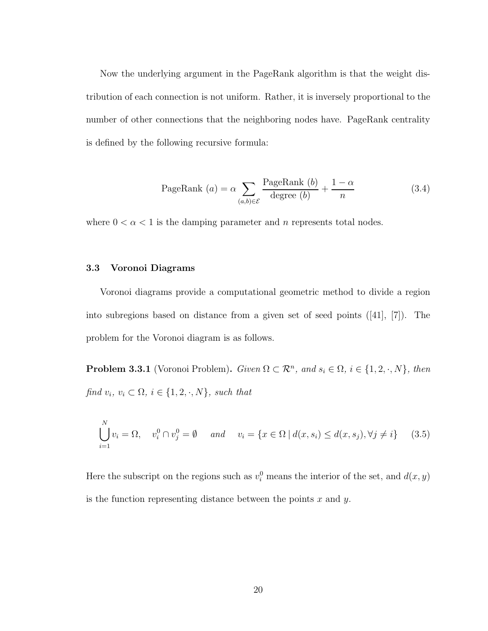Now the underlying argument in the PageRank algorithm is that the weight distribution of each connection is not uniform. Rather, it is inversely proportional to the number of other connections that the neighboring nodes have. PageRank centrality is defined by the following recursive formula:

PageRank (a) = 
$$
\alpha \sum_{(a,b)\in \mathcal{E}} \frac{\text{PageRank}(b)}{\text{degree}(b)} + \frac{1-\alpha}{n}
$$
 (3.4)

where  $0 < \alpha < 1$  is the damping parameter and n represents total nodes.

### 3.3 Voronoi Diagrams

Voronoi diagrams provide a computational geometric method to divide a region into subregions based on distance from a given set of seed points ([41], [7]). The problem for the Voronoi diagram is as follows.

**Problem 3.3.1** (Voronoi Problem). Given  $\Omega \subset \mathbb{R}^n$ , and  $s_i \in \Omega$ ,  $i \in \{1, 2, \cdot, N\}$ , then find  $v_i, v_i \subset \Omega, i \in \{1, 2, \cdot, N\}$ , such that

$$
\bigcup_{i=1}^{N} v_i = \Omega, \quad v_i^0 \cap v_j^0 = \emptyset \quad and \quad v_i = \{x \in \Omega \mid d(x, s_i) \le d(x, s_j), \forall j \neq i\} \tag{3.5}
$$

Here the subscript on the regions such as  $v_i^0$  means the interior of the set, and  $d(x, y)$ is the function representing distance between the points  $x$  and  $y$ .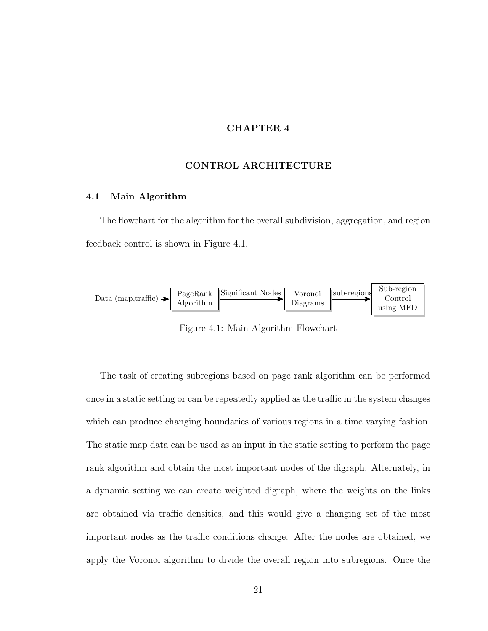### CHAPTER 4

### CONTROL ARCHITECTURE

### 4.1 Main Algorithm

The flowchart for the algorithm for the overall subdivision, aggregation, and region feedback control is shown in Figure 4.1.



Figure 4.1: Main Algorithm Flowchart

The task of creating subregions based on page rank algorithm can be performed once in a static setting or can be repeatedly applied as the traffic in the system changes which can produce changing boundaries of various regions in a time varying fashion. The static map data can be used as an input in the static setting to perform the page rank algorithm and obtain the most important nodes of the digraph. Alternately, in a dynamic setting we can create weighted digraph, where the weights on the links are obtained via traffic densities, and this would give a changing set of the most important nodes as the traffic conditions change. After the nodes are obtained, we apply the Voronoi algorithm to divide the overall region into subregions. Once the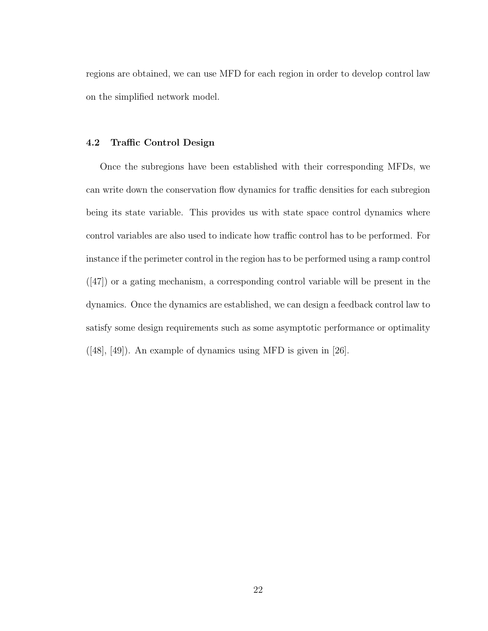regions are obtained, we can use MFD for each region in order to develop control law on the simplified network model.

### 4.2 Traffic Control Design

Once the subregions have been established with their corresponding MFDs, we can write down the conservation flow dynamics for traffic densities for each subregion being its state variable. This provides us with state space control dynamics where control variables are also used to indicate how traffic control has to be performed. For instance if the perimeter control in the region has to be performed using a ramp control ([47]) or a gating mechanism, a corresponding control variable will be present in the dynamics. Once the dynamics are established, we can design a feedback control law to satisfy some design requirements such as some asymptotic performance or optimality ([48], [49]). An example of dynamics using MFD is given in [26].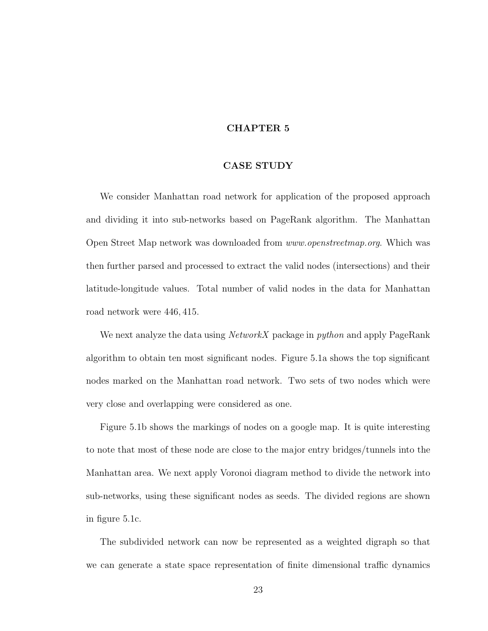### CHAPTER 5

### CASE STUDY

We consider Manhattan road network for application of the proposed approach and dividing it into sub-networks based on PageRank algorithm. The Manhattan Open Street Map network was downloaded from www.openstreetmap.org. Which was then further parsed and processed to extract the valid nodes (intersections) and their latitude-longitude values. Total number of valid nodes in the data for Manhattan road network were 446, 415.

We next analyze the data using *NetworkX* package in *python* and apply PageRank algorithm to obtain ten most significant nodes. Figure 5.1a shows the top significant nodes marked on the Manhattan road network. Two sets of two nodes which were very close and overlapping were considered as one.

Figure 5.1b shows the markings of nodes on a google map. It is quite interesting to note that most of these node are close to the major entry bridges/tunnels into the Manhattan area. We next apply Voronoi diagram method to divide the network into sub-networks, using these significant nodes as seeds. The divided regions are shown in figure 5.1c.

The subdivided network can now be represented as a weighted digraph so that we can generate a state space representation of finite dimensional traffic dynamics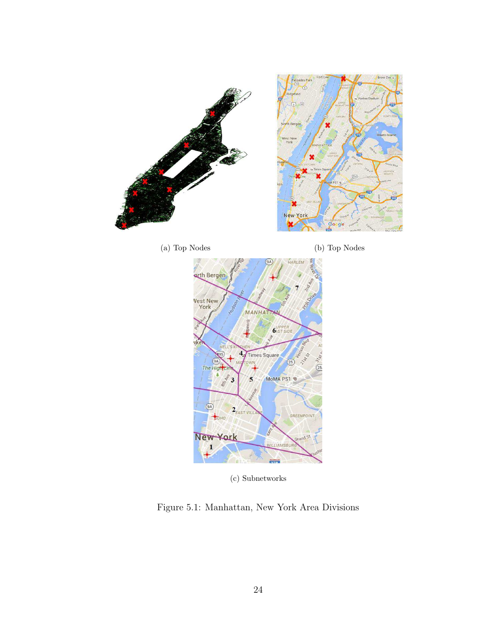







(c) Subnetworks

Figure 5.1: Manhattan, New York Area Divisions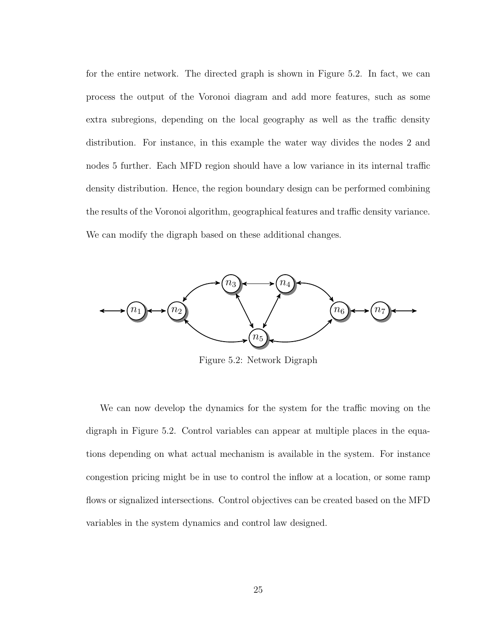for the entire network. The directed graph is shown in Figure 5.2. In fact, we can process the output of the Voronoi diagram and add more features, such as some extra subregions, depending on the local geography as well as the traffic density distribution. For instance, in this example the water way divides the nodes 2 and nodes 5 further. Each MFD region should have a low variance in its internal traffic density distribution. Hence, the region boundary design can be performed combining the results of the Voronoi algorithm, geographical features and traffic density variance. We can modify the digraph based on these additional changes.



Figure 5.2: Network Digraph

We can now develop the dynamics for the system for the traffic moving on the digraph in Figure 5.2. Control variables can appear at multiple places in the equations depending on what actual mechanism is available in the system. For instance congestion pricing might be in use to control the inflow at a location, or some ramp flows or signalized intersections. Control objectives can be created based on the MFD variables in the system dynamics and control law designed.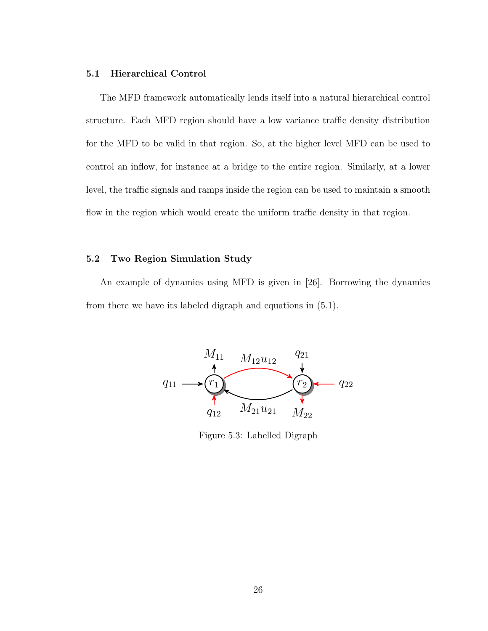### 5.1 Hierarchical Control

The MFD framework automatically lends itself into a natural hierarchical control structure. Each MFD region should have a low variance traffic density distribution for the MFD to be valid in that region. So, at the higher level MFD can be used to control an inflow, for instance at a bridge to the entire region. Similarly, at a lower level, the traffic signals and ramps inside the region can be used to maintain a smooth flow in the region which would create the uniform traffic density in that region.

### 5.2 Two Region Simulation Study

An example of dynamics using MFD is given in [26]. Borrowing the dynamics from there we have its labeled digraph and equations in (5.1).



Figure 5.3: Labelled Digraph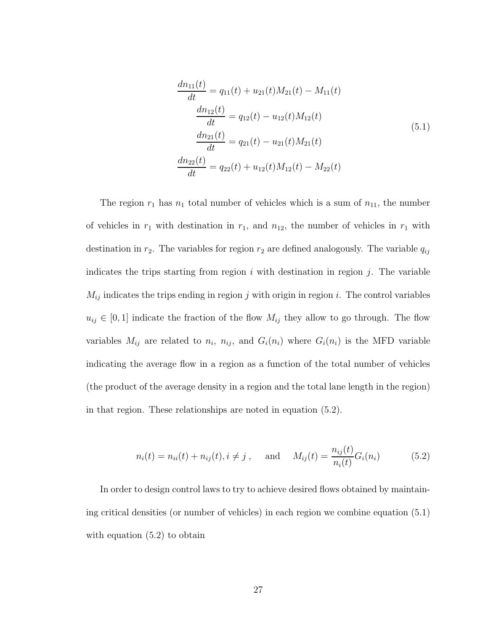$$
\frac{dn_{11}(t)}{dt} = q_{11}(t) + u_{21}(t)M_{21}(t) - M_{11}(t)
$$
\n
$$
\frac{dn_{12}(t)}{dt} = q_{12}(t) - u_{12}(t)M_{12}(t)
$$
\n
$$
\frac{dn_{21}(t)}{dt} = q_{21}(t) - u_{21}(t)M_{21}(t)
$$
\n
$$
\frac{dn_{22}(t)}{dt} = q_{22}(t) + u_{12}(t)M_{12}(t) - M_{22}(t)
$$
\n(5.1)

The region  $r_1$  has  $n_1$  total number of vehicles which is a sum of  $n_{11}$ , the number of vehicles in  $r_1$  with destination in  $r_1$ , and  $n_{12}$ , the number of vehicles in  $r_1$  with destination in  $r_2$ . The variables for region  $r_2$  are defined analogously. The variable  $q_{ij}$ indicates the trips starting from region  $i$  with destination in region  $j$ . The variable  $M_{ij}$  indicates the trips ending in region j with origin in region i. The control variables  $u_{ij} \in [0, 1]$  indicate the fraction of the flow  $M_{ij}$  they allow to go through. The flow variables  $M_{ij}$  are related to  $n_i$ ,  $n_{ij}$ , and  $G_i(n_i)$  where  $G_i(n_i)$  is the MFD variable indicating the average flow in a region as a function of the total number of vehicles (the product of the average density in a region and the total lane length in the region) in that region. These relationships are noted in equation (5.2).

$$
n_i(t) = n_{ii}(t) + n_{ij}(t), i \neq j, \text{ and } M_{ij}(t) = \frac{n_{ij}(t)}{n_i(t)} G_i(n_i)
$$
 (5.2)

In order to design control laws to try to achieve desired flows obtained by maintaining critical densities (or number of vehicles) in each region we combine equation (5.1) with equation  $(5.2)$  to obtain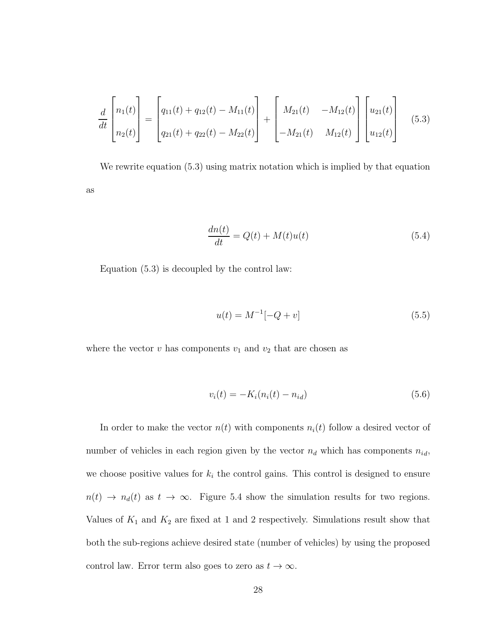$$
\frac{d}{dt}\begin{bmatrix} n_1(t) \\ n_2(t) \end{bmatrix} = \begin{bmatrix} q_{11}(t) + q_{12}(t) - M_{11}(t) \\ q_{21}(t) + q_{22}(t) - M_{22}(t) \end{bmatrix} + \begin{bmatrix} M_{21}(t) & -M_{12}(t) \\ -M_{21}(t) & M_{12}(t) \end{bmatrix} \begin{bmatrix} u_{21}(t) \\ u_{12}(t) \end{bmatrix}
$$
(5.3)

We rewrite equation (5.3) using matrix notation which is implied by that equation as

$$
\frac{dn(t)}{dt} = Q(t) + M(t)u(t)
$$
\n(5.4)

Equation (5.3) is decoupled by the control law:

$$
u(t) = M^{-1}[-Q + v] \tag{5.5}
$$

where the vector  $v$  has components  $v_1$  and  $v_2$  that are chosen as

$$
v_i(t) = -K_i(n_i(t) - n_{id})
$$
\n(5.6)

In order to make the vector  $n(t)$  with components  $n_i(t)$  follow a desired vector of number of vehicles in each region given by the vector  $n_d$  which has components  $n_{id}$ , we choose positive values for  $k_i$  the control gains. This control is designed to ensure  $n(t) \rightarrow n_d(t)$  as  $t \rightarrow \infty$ . Figure 5.4 show the simulation results for two regions. Values of  $K_1$  and  $K_2$  are fixed at 1 and 2 respectively. Simulations result show that both the sub-regions achieve desired state (number of vehicles) by using the proposed control law. Error term also goes to zero as  $t \to \infty$ .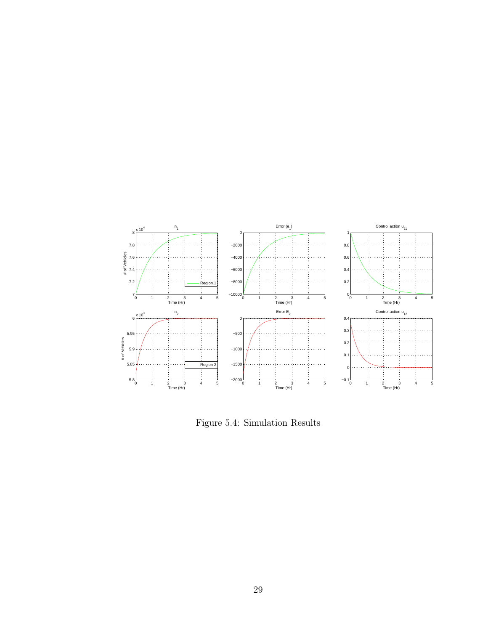

Figure 5.4: Simulation Results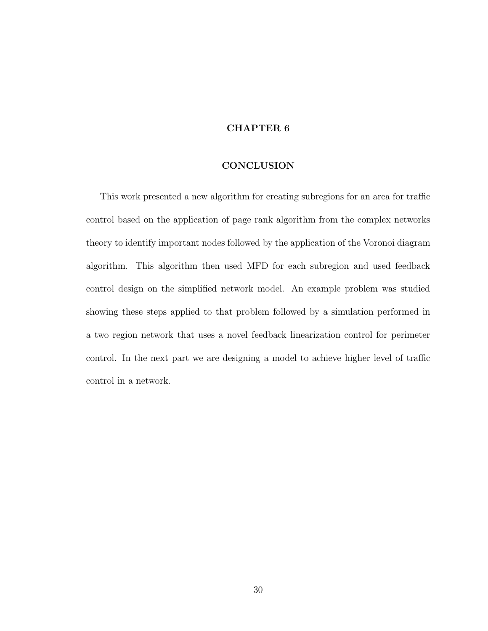#### **CONCLUSION**

This work presented a new algorithm for creating subregions for an area for traffic control based on the application of page rank algorithm from the complex networks theory to identify important nodes followed by the application of the Voronoi diagram algorithm. This algorithm then used MFD for each subregion and used feedback control design on the simplified network model. An example problem was studied showing these steps applied to that problem followed by a simulation performed in a two region network that uses a novel feedback linearization control for perimeter control. In the next part we are designing a model to achieve higher level of traffic control in a network.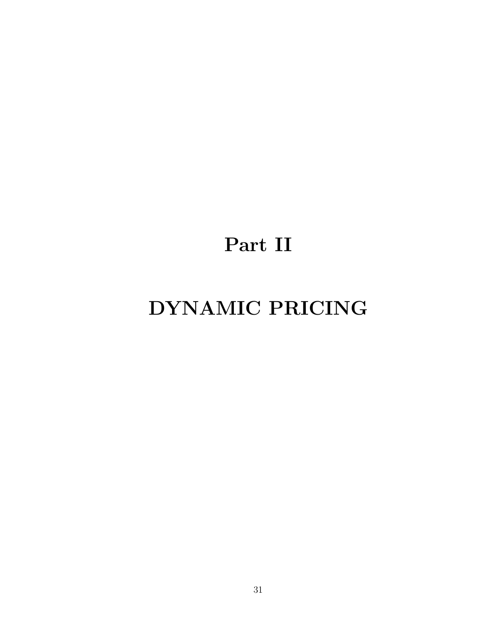# Part II

# DYNAMIC PRICING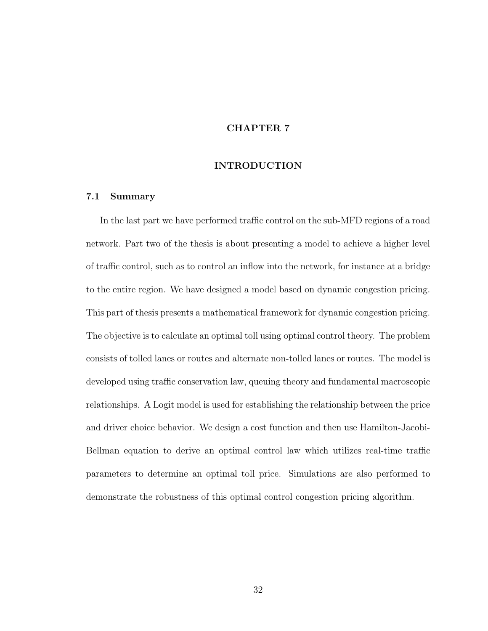### INTRODUCTION

# 7.1 Summary

In the last part we have performed traffic control on the sub-MFD regions of a road network. Part two of the thesis is about presenting a model to achieve a higher level of traffic control, such as to control an inflow into the network, for instance at a bridge to the entire region. We have designed a model based on dynamic congestion pricing. This part of thesis presents a mathematical framework for dynamic congestion pricing. The objective is to calculate an optimal toll using optimal control theory. The problem consists of tolled lanes or routes and alternate non-tolled lanes or routes. The model is developed using traffic conservation law, queuing theory and fundamental macroscopic relationships. A Logit model is used for establishing the relationship between the price and driver choice behavior. We design a cost function and then use Hamilton-Jacobi-Bellman equation to derive an optimal control law which utilizes real-time traffic parameters to determine an optimal toll price. Simulations are also performed to demonstrate the robustness of this optimal control congestion pricing algorithm.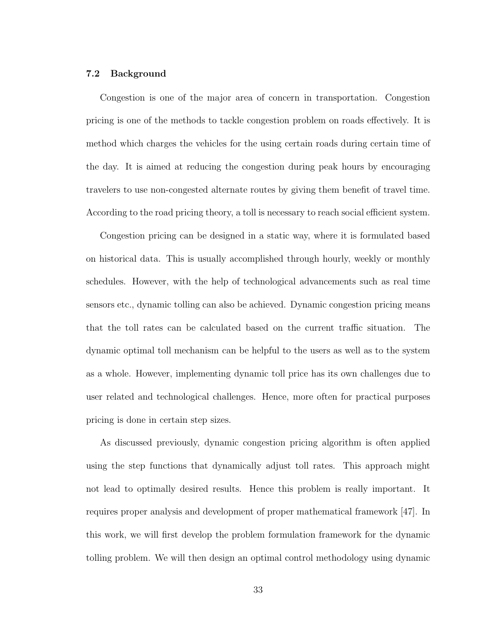#### 7.2 Background

Congestion is one of the major area of concern in transportation. Congestion pricing is one of the methods to tackle congestion problem on roads effectively. It is method which charges the vehicles for the using certain roads during certain time of the day. It is aimed at reducing the congestion during peak hours by encouraging travelers to use non-congested alternate routes by giving them benefit of travel time. According to the road pricing theory, a toll is necessary to reach social efficient system.

Congestion pricing can be designed in a static way, where it is formulated based on historical data. This is usually accomplished through hourly, weekly or monthly schedules. However, with the help of technological advancements such as real time sensors etc., dynamic tolling can also be achieved. Dynamic congestion pricing means that the toll rates can be calculated based on the current traffic situation. The dynamic optimal toll mechanism can be helpful to the users as well as to the system as a whole. However, implementing dynamic toll price has its own challenges due to user related and technological challenges. Hence, more often for practical purposes pricing is done in certain step sizes.

As discussed previously, dynamic congestion pricing algorithm is often applied using the step functions that dynamically adjust toll rates. This approach might not lead to optimally desired results. Hence this problem is really important. It requires proper analysis and development of proper mathematical framework [47]. In this work, we will first develop the problem formulation framework for the dynamic tolling problem. We will then design an optimal control methodology using dynamic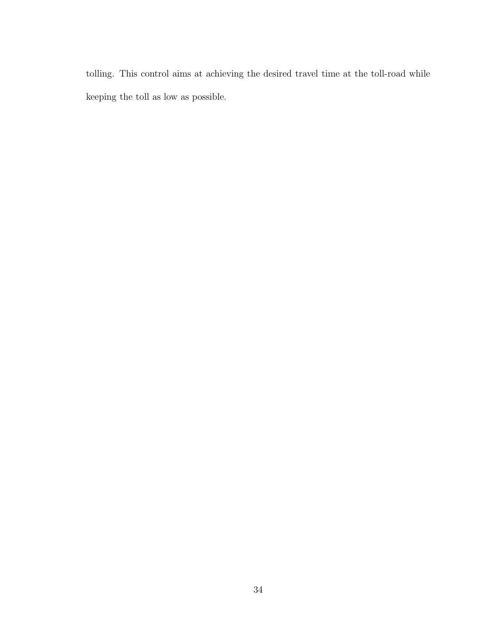tolling. This control aims at achieving the desired travel time at the toll-road while keeping the toll as low as possible.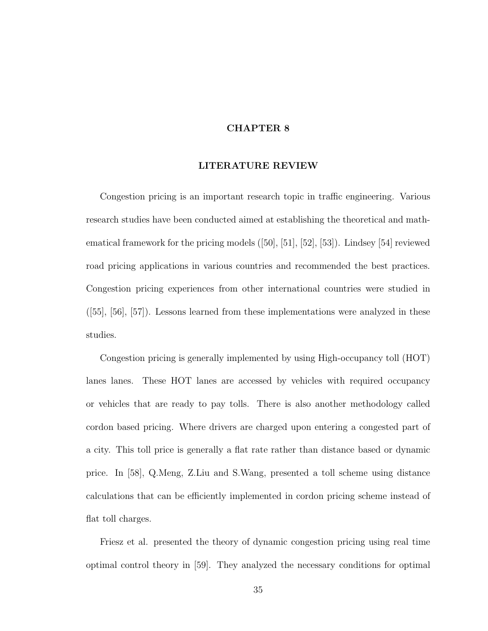#### LITERATURE REVIEW

Congestion pricing is an important research topic in traffic engineering. Various research studies have been conducted aimed at establishing the theoretical and mathematical framework for the pricing models ([50], [51], [52], [53]). Lindsey [54] reviewed road pricing applications in various countries and recommended the best practices. Congestion pricing experiences from other international countries were studied in ([55], [56], [57]). Lessons learned from these implementations were analyzed in these studies.

Congestion pricing is generally implemented by using High-occupancy toll (HOT) lanes lanes. These HOT lanes are accessed by vehicles with required occupancy or vehicles that are ready to pay tolls. There is also another methodology called cordon based pricing. Where drivers are charged upon entering a congested part of a city. This toll price is generally a flat rate rather than distance based or dynamic price. In [58], Q.Meng, Z.Liu and S.Wang, presented a toll scheme using distance calculations that can be efficiently implemented in cordon pricing scheme instead of flat toll charges.

Friesz et al. presented the theory of dynamic congestion pricing using real time optimal control theory in [59]. They analyzed the necessary conditions for optimal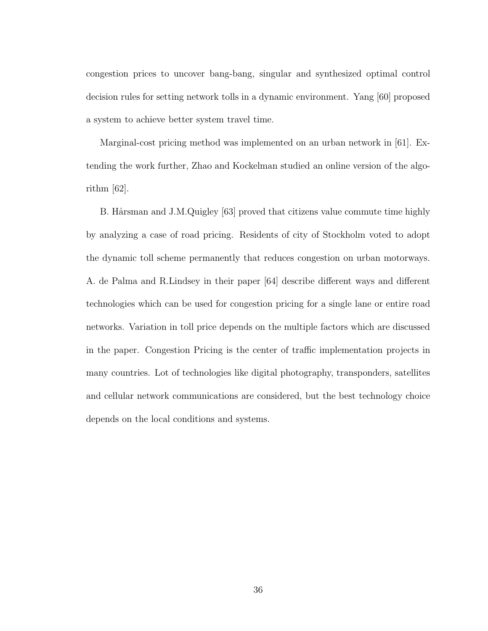congestion prices to uncover bang-bang, singular and synthesized optimal control decision rules for setting network tolls in a dynamic environment. Yang [60] proposed a system to achieve better system travel time.

Marginal-cost pricing method was implemented on an urban network in [61]. Extending the work further, Zhao and Kockelman studied an online version of the algorithm [62].

B. Hårsman and J.M.Quigley [63] proved that citizens value commute time highly by analyzing a case of road pricing. Residents of city of Stockholm voted to adopt the dynamic toll scheme permanently that reduces congestion on urban motorways. A. de Palma and R.Lindsey in their paper [64] describe different ways and different technologies which can be used for congestion pricing for a single lane or entire road networks. Variation in toll price depends on the multiple factors which are discussed in the paper. Congestion Pricing is the center of traffic implementation projects in many countries. Lot of technologies like digital photography, transponders, satellites and cellular network communications are considered, but the best technology choice depends on the local conditions and systems.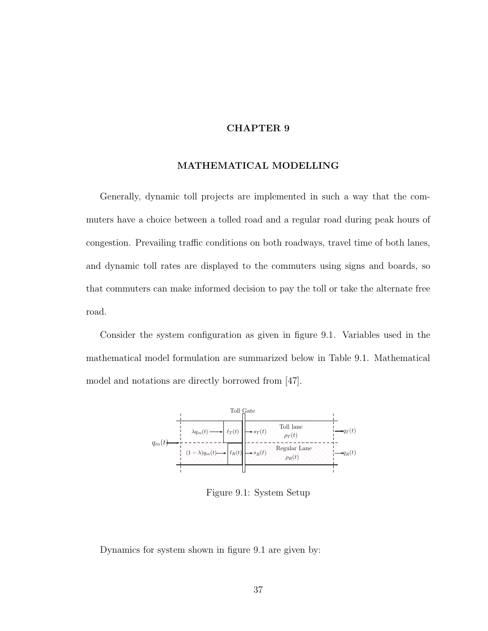#### MATHEMATICAL MODELLING

Generally, dynamic toll projects are implemented in such a way that the commuters have a choice between a tolled road and a regular road during peak hours of congestion. Prevailing traffic conditions on both roadways, travel time of both lanes, and dynamic toll rates are displayed to the commuters using signs and boards, so that commuters can make informed decision to pay the toll or take the alternate free road.

Consider the system configuration as given in figure 9.1. Variables used in the mathematical model formulation are summarized below in Table 9.1. Mathematical model and notations are directly borrowed from [47].



Figure 9.1: System Setup

Dynamics for system shown in figure 9.1 are given by: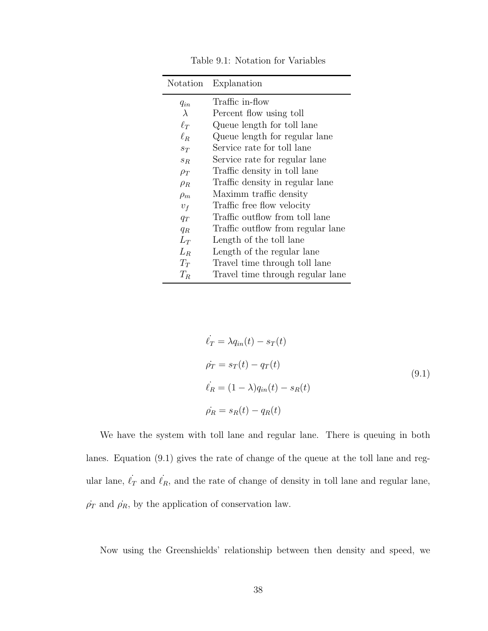| Notation  | Explanation                       |
|-----------|-----------------------------------|
| $q_{in}$  | Traffic in-flow                   |
| $\lambda$ | Percent flow using toll           |
| $\ell_T$  | Queue length for toll lane        |
| $\ell_R$  | Queue length for regular lane     |
| $S_{T}$   | Service rate for toll lane        |
| $S_{R}$   | Service rate for regular lane     |
| $\rho_T$  | Traffic density in toll lane      |
| $\rho_R$  | Traffic density in regular lane   |
| $\rho_m$  | Maximm traffic density            |
| $v_f$     | Traffic free flow velocity        |
| $q_T$     | Traffic outflow from toll lane    |
| $q_R$     | Traffic outflow from regular lane |
| $L_T$     | Length of the toll lane           |
| $L_R$     | Length of the regular lane        |
| $T_T$     | Travel time through toll lane     |
| $T_R$     | Travel time through regular lane  |

Table 9.1: Notation for Variables

$$
\dot{\ell}_T = \lambda q_{in}(t) - s_T(t)
$$
\n
$$
\dot{\rho}_T = s_T(t) - q_T(t)
$$
\n
$$
\dot{\ell}_R = (1 - \lambda)q_{in}(t) - s_R(t)
$$
\n
$$
\dot{\rho}_R = s_R(t) - q_R(t)
$$
\n(9.1)

We have the system with toll lane and regular lane. There is queuing in both lanes. Equation (9.1) gives the rate of change of the queue at the toll lane and regular lane,  $\ell_T$  and  $\ell_R$ , and the rate of change of density in toll lane and regular lane,  $\dot{\rho_T}$  and  $\dot{\rho_R},$  by the application of conservation law.

Now using the Greenshields' relationship between then density and speed, we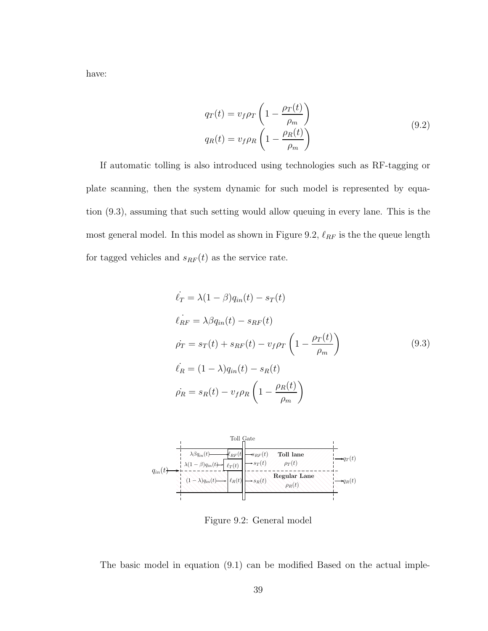have:

$$
q_T(t) = v_f \rho_T \left( 1 - \frac{\rho_T(t)}{\rho_m} \right)
$$
  
\n
$$
q_R(t) = v_f \rho_R \left( 1 - \frac{\rho_R(t)}{\rho_m} \right)
$$
\n(9.2)

If automatic tolling is also introduced using technologies such as RF-tagging or plate scanning, then the system dynamic for such model is represented by equation (9.3), assuming that such setting would allow queuing in every lane. This is the most general model. In this model as shown in Figure 9.2,  $\ell_{RF}$  is the the queue length for tagged vehicles and  $s_{RF}(t)$  as the service rate.

$$
\dot{\ell}_T = \lambda (1 - \beta) q_{in}(t) - s_T(t)
$$
\n
$$
\dot{\ell}_{RF} = \lambda \beta q_{in}(t) - s_{RF}(t)
$$
\n
$$
\dot{\rho}_T = s_T(t) + s_{RF}(t) - v_f \rho_T \left( 1 - \frac{\rho_T(t)}{\rho_m} \right)
$$
\n
$$
\dot{\ell}_R = (1 - \lambda) q_{in}(t) - s_R(t)
$$
\n
$$
\dot{\rho}_R = s_R(t) - v_f \rho_R \left( 1 - \frac{\rho_R(t)}{\rho_m} \right)
$$
\n(9.3)



Figure 9.2: General model

The basic model in equation (9.1) can be modified Based on the actual imple-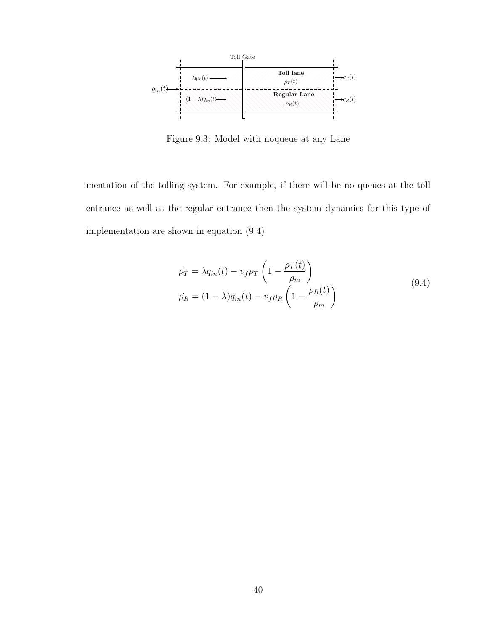

Figure 9.3: Model with noqueue at any Lane

mentation of the tolling system. For example, if there will be no queues at the toll entrance as well at the regular entrance then the system dynamics for this type of implementation are shown in equation (9.4)

$$
\dot{\rho_T} = \lambda q_{in}(t) - v_f \rho_T \left( 1 - \frac{\rho_T(t)}{\rho_m} \right)
$$
\n
$$
\dot{\rho_R} = (1 - \lambda) q_{in}(t) - v_f \rho_R \left( 1 - \frac{\rho_R(t)}{\rho_m} \right)
$$
\n(9.4)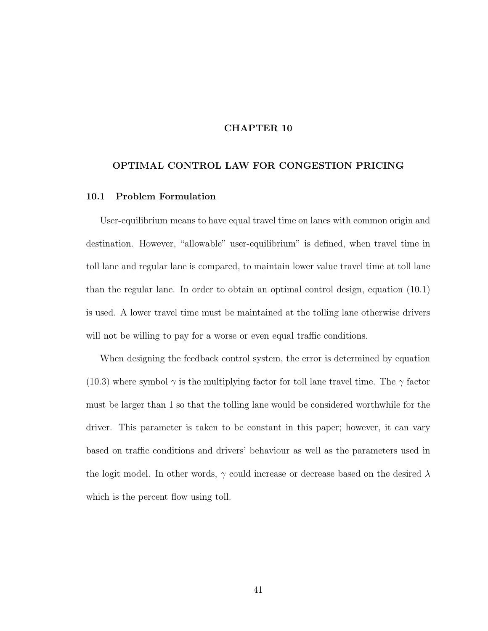### OPTIMAL CONTROL LAW FOR CONGESTION PRICING

# 10.1 Problem Formulation

User-equilibrium means to have equal travel time on lanes with common origin and destination. However, "allowable" user-equilibrium" is defined, when travel time in toll lane and regular lane is compared, to maintain lower value travel time at toll lane than the regular lane. In order to obtain an optimal control design, equation (10.1) is used. A lower travel time must be maintained at the tolling lane otherwise drivers will not be willing to pay for a worse or even equal traffic conditions.

When designing the feedback control system, the error is determined by equation (10.3) where symbol  $\gamma$  is the multiplying factor for toll lane travel time. The  $\gamma$  factor must be larger than 1 so that the tolling lane would be considered worthwhile for the driver. This parameter is taken to be constant in this paper; however, it can vary based on traffic conditions and drivers' behaviour as well as the parameters used in the logit model. In other words,  $\gamma$  could increase or decrease based on the desired  $\lambda$ which is the percent flow using toll.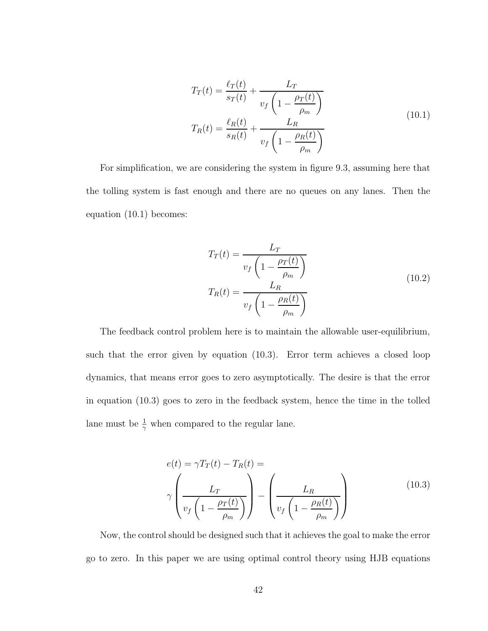$$
T_T(t) = \frac{\ell_T(t)}{s_T(t)} + \frac{L_T}{v_f \left(1 - \frac{\rho_T(t)}{\rho_m}\right)}
$$
  
\n
$$
T_R(t) = \frac{\ell_R(t)}{s_R(t)} + \frac{L_R}{v_f \left(1 - \frac{\rho_R(t)}{\rho_m}\right)}
$$
\n(10.1)

For simplification, we are considering the system in figure 9.3, assuming here that the tolling system is fast enough and there are no queues on any lanes. Then the equation (10.1) becomes:

$$
T_T(t) = \frac{L_T}{v_f \left(1 - \frac{\rho_T(t)}{\rho_m}\right)}
$$
  
\n
$$
T_R(t) = \frac{L_R}{v_f \left(1 - \frac{\rho_R(t)}{\rho_m}\right)}
$$
\n(10.2)

The feedback control problem here is to maintain the allowable user-equilibrium, such that the error given by equation (10.3). Error term achieves a closed loop dynamics, that means error goes to zero asymptotically. The desire is that the error in equation (10.3) goes to zero in the feedback system, hence the time in the tolled lane must be  $\frac{1}{\gamma}$  when compared to the regular lane.

$$
e(t) = \gamma T_T(t) - T_R(t) =
$$
  

$$
\gamma \left( \frac{L_T}{v_f \left( 1 - \frac{\rho_T(t)}{\rho_m} \right)} \right) - \left( \frac{L_R}{v_f \left( 1 - \frac{\rho_R(t)}{\rho_m} \right)} \right)
$$
(10.3)

Now, the control should be designed such that it achieves the goal to make the error go to zero. In this paper we are using optimal control theory using HJB equations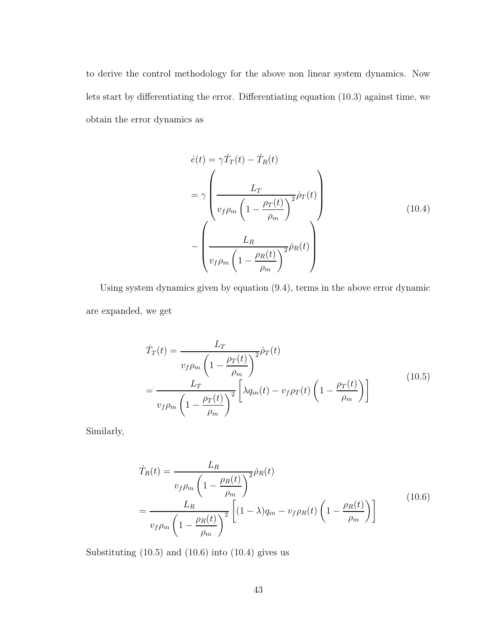to derive the control methodology for the above non linear system dynamics. Now lets start by differentiating the error. Differentiating equation (10.3) against time, we obtain the error dynamics as

$$
\dot{e}(t) = \gamma \dot{T}_T(t) - \dot{T}_R(t)
$$
\n
$$
= \gamma \left( \frac{L_T}{v_f \rho_m \left( 1 - \frac{\rho_T(t)}{\rho_m} \right)^2} \dot{\rho}_T(t) \right)
$$
\n
$$
- \left( \frac{L_R}{v_f \rho_m \left( 1 - \frac{\rho_R(t)}{\rho_m} \right)^2} \dot{\rho}_R(t) \right)
$$
\n(10.4)

Using system dynamics given by equation (9.4), terms in the above error dynamic are expanded, we get

$$
\dot{T}_T(t) = \frac{L_T}{v_f \rho_m \left(1 - \frac{\rho_T(t)}{\rho_m}\right)^2} \dot{\rho}_T(t)
$$
\n
$$
= \frac{L_T}{v_f \rho_m \left(1 - \frac{\rho_T(t)}{\rho_m}\right)^2} \left[\lambda q_{in}(t) - v_f \rho_T(t) \left(1 - \frac{\rho_T(t)}{\rho_m}\right)\right]
$$
\n(10.5)

Similarly,

$$
\dot{T}_R(t) = \frac{L_R}{v_f \rho_m \left(1 - \frac{\rho_R(t)}{\rho_m}\right)^2} \dot{\rho}_R(t)
$$
\n
$$
= \frac{L_R}{v_f \rho_m \left(1 - \frac{\rho_R(t)}{\rho_m}\right)^2} \left[ (1 - \lambda) q_{in} - v_f \rho_R(t) \left(1 - \frac{\rho_R(t)}{\rho_m}\right) \right]
$$
\n(10.6)

Substituting  $(10.5)$  and  $(10.6)$  into  $(10.4)$  gives us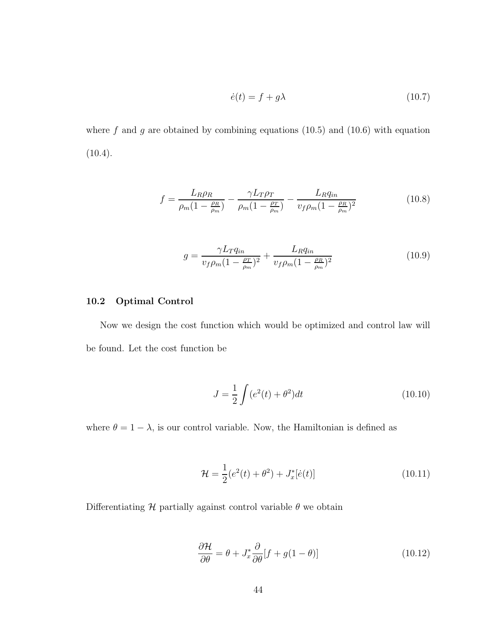$$
\dot{e}(t) = f + g\lambda \tag{10.7}
$$

where f and g are obtained by combining equations  $(10.5)$  and  $(10.6)$  with equation  $(10.4).$ 

$$
f = \frac{L_R \rho_R}{\rho_m (1 - \frac{\rho_R}{\rho_m})} - \frac{\gamma L_T \rho_T}{\rho_m (1 - \frac{\rho_T}{\rho_m})} - \frac{L_R q_{in}}{v_f \rho_m (1 - \frac{\rho_R}{\rho_m})^2}
$$
(10.8)

$$
g = \frac{\gamma L_T q_{in}}{v_f \rho_m (1 - \frac{\rho_T}{\rho_m})^2} + \frac{L_R q_{in}}{v_f \rho_m (1 - \frac{\rho_R}{\rho_m})^2}
$$
(10.9)

# 10.2 Optimal Control

Now we design the cost function which would be optimized and control law will be found. Let the cost function be

$$
J = \frac{1}{2} \int (e^2(t) + \theta^2) dt
$$
 (10.10)

where  $\theta = 1 - \lambda$ , is our control variable. Now, the Hamiltonian is defined as

$$
\mathcal{H} = \frac{1}{2}(e^2(t) + \theta^2) + J_x^*[\dot{e}(t)] \tag{10.11}
$$

Differentiating  $\mathcal H$  partially against control variable  $\theta$  we obtain

$$
\frac{\partial \mathcal{H}}{\partial \theta} = \theta + J_x^* \frac{\partial}{\partial \theta} [f + g(1 - \theta)] \tag{10.12}
$$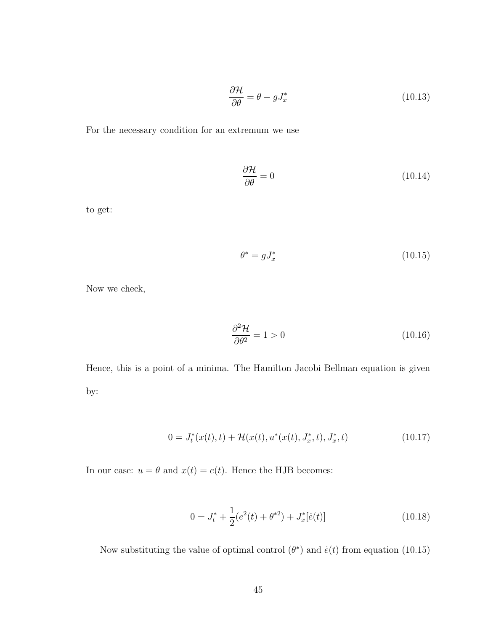$$
\frac{\partial \mathcal{H}}{\partial \theta} = \theta - gJ_x^* \tag{10.13}
$$

For the necessary condition for an extremum we use

$$
\frac{\partial \mathcal{H}}{\partial \theta} = 0 \tag{10.14}
$$

to get:

$$
\theta^* = gJ_x^* \tag{10.15}
$$

Now we check,

$$
\frac{\partial^2 \mathcal{H}}{\partial \theta^2} = 1 > 0 \tag{10.16}
$$

Hence, this is a point of a minima. The Hamilton Jacobi Bellman equation is given by:

$$
0 = J_t^*(x(t), t) + \mathcal{H}(x(t), u^*(x(t), J_x^*, t), J_x^*, t)
$$
\n(10.17)

In our case:  $u = \theta$  and  $x(t) = e(t)$ . Hence the HJB becomes:

$$
0 = J_t^* + \frac{1}{2}(e^2(t) + \theta^{*2}) + J_x^*[\dot{e}(t)]
$$
\n(10.18)

Now substituting the value of optimal control  $(\theta^*)$  and  $\dot{e}(t)$  from equation (10.15)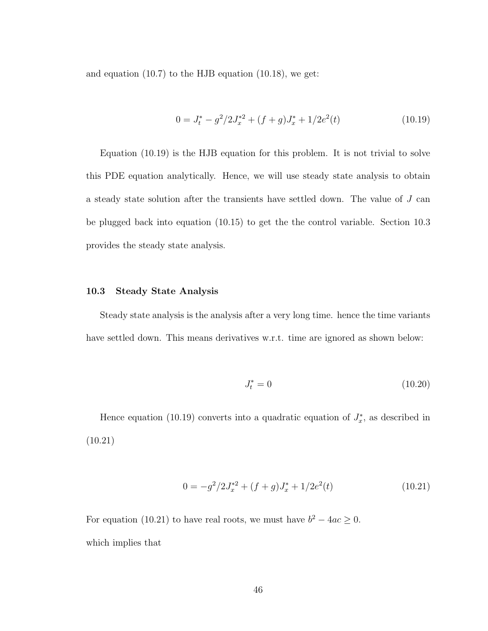and equation (10.7) to the HJB equation (10.18), we get:

$$
0 = J_t^* - g^2 / 2J_x^{*2} + (f+g)J_x^* + 1/2e^2(t)
$$
\n(10.19)

Equation (10.19) is the HJB equation for this problem. It is not trivial to solve this PDE equation analytically. Hence, we will use steady state analysis to obtain a steady state solution after the transients have settled down. The value of J can be plugged back into equation (10.15) to get the the control variable. Section 10.3 provides the steady state analysis.

#### 10.3 Steady State Analysis

Steady state analysis is the analysis after a very long time. hence the time variants have settled down. This means derivatives w.r.t. time are ignored as shown below:

$$
J_t^* = 0 \t\t(10.20)
$$

Hence equation (10.19) converts into a quadratic equation of  $J_x^*$  $x^*$ , as described in (10.21)

$$
0 = -g^2/2J_x^{*2} + (f+g)J_x^* + 1/2e^2(t)
$$
\n(10.21)

For equation (10.21) to have real roots, we must have  $b^2 - 4ac \geq 0$ . which implies that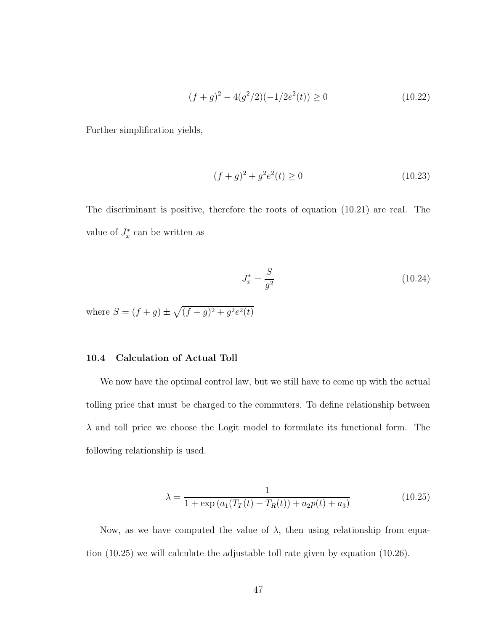$$
(f+g)^2 - 4(g^2/2)(-1/2e^2(t)) \ge 0
$$
\n(10.22)

Further simplification yields,

$$
(f+g)^2 + g^2 e^2(t) \ge 0 \tag{10.23}
$$

The discriminant is positive, therefore the roots of equation (10.21) are real. The value of  $J_x^*$  $x^*$  can be written as

$$
J_x^* = \frac{S}{g^2} \tag{10.24}
$$

where  $S = (f + g) \pm \sqrt{(f + g)^2 + g^2 e^2(t)}$ 

#### 10.4 Calculation of Actual Toll

We now have the optimal control law, but we still have to come up with the actual tolling price that must be charged to the commuters. To define relationship between  $\lambda$  and toll price we choose the Logit model to formulate its functional form. The following relationship is used.

$$
\lambda = \frac{1}{1 + \exp(a_1(T_T(t) - T_R(t)) + a_2 p(t) + a_3)}
$$
(10.25)

Now, as we have computed the value of  $\lambda$ , then using relationship from equation (10.25) we will calculate the adjustable toll rate given by equation (10.26).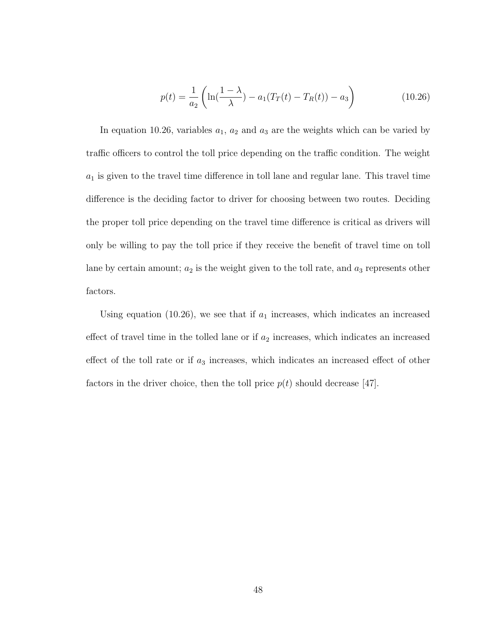$$
p(t) = \frac{1}{a_2} \left( \ln(\frac{1-\lambda}{\lambda}) - a_1(T_T(t) - T_R(t)) - a_3 \right)
$$
 (10.26)

In equation 10.26, variables  $a_1$ ,  $a_2$  and  $a_3$  are the weights which can be varied by traffic officers to control the toll price depending on the traffic condition. The weight  $a_1$  is given to the travel time difference in toll lane and regular lane. This travel time difference is the deciding factor to driver for choosing between two routes. Deciding the proper toll price depending on the travel time difference is critical as drivers will only be willing to pay the toll price if they receive the benefit of travel time on toll lane by certain amount;  $a_2$  is the weight given to the toll rate, and  $a_3$  represents other factors.

Using equation (10.26), we see that if  $a_1$  increases, which indicates an increased effect of travel time in the tolled lane or if  $a_2$  increases, which indicates an increased effect of the toll rate or if  $a_3$  increases, which indicates an increased effect of other factors in the driver choice, then the toll price  $p(t)$  should decrease [47].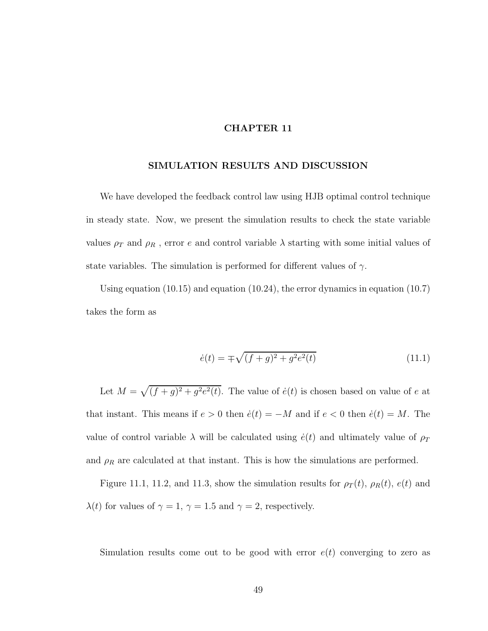### SIMULATION RESULTS AND DISCUSSION

We have developed the feedback control law using HJB optimal control technique in steady state. Now, we present the simulation results to check the state variable values  $\rho_T$  and  $\rho_R$  , error  $e$  and control variable  $\lambda$  starting with some initial values of state variables. The simulation is performed for different values of  $\gamma$ .

Using equation (10.15) and equation (10.24), the error dynamics in equation (10.7) takes the form as

$$
\dot{e}(t) = \pm \sqrt{(f+g)^2 + g^2 e^2(t)}\tag{11.1}
$$

Let  $M = \sqrt{(f+g)^2 + g^2 e^2(t)}$ . The value of  $\dot{e}(t)$  is chosen based on value of e at that instant. This means if  $e > 0$  then  $\dot{e}(t) = -M$  and if  $e < 0$  then  $\dot{e}(t) = M$ . The value of control variable  $\lambda$  will be calculated using  $\dot{e}(t)$  and ultimately value of  $\rho_T$ and  $\rho_R$  are calculated at that instant. This is how the simulations are performed.

Figure 11.1, 11.2, and 11.3, show the simulation results for  $\rho_T(t)$ ,  $\rho_R(t)$ ,  $e(t)$  and  $\lambda(t)$  for values of  $\gamma = 1$ ,  $\gamma = 1.5$  and  $\gamma = 2$ , respectively.

Simulation results come out to be good with error  $e(t)$  converging to zero as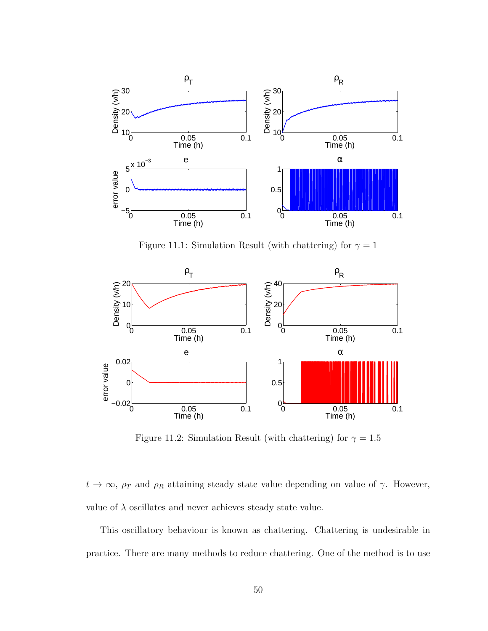

Figure 11.1: Simulation Result (with chattering) for  $\gamma = 1$ 



Figure 11.2: Simulation Result (with chattering) for  $\gamma = 1.5$ 

 $t \to \infty$ ,  $\rho_T$  and  $\rho_R$  attaining steady state value depending on value of  $\gamma$ . However, value of  $\lambda$  oscillates and never achieves steady state value.

This oscillatory behaviour is known as chattering. Chattering is undesirable in practice. There are many methods to reduce chattering. One of the method is to use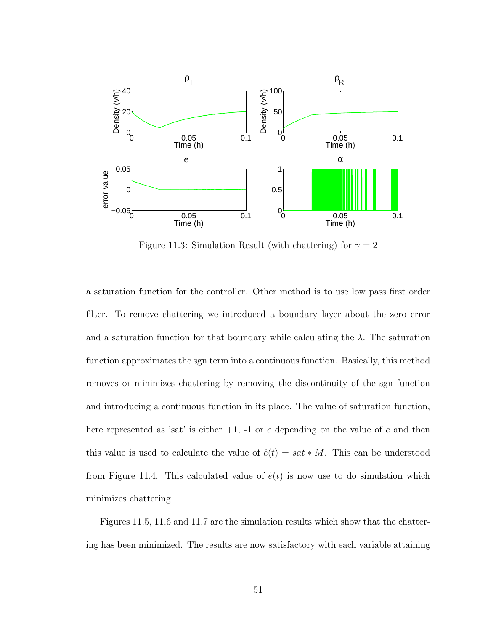

Figure 11.3: Simulation Result (with chattering) for  $\gamma = 2$ 

a saturation function for the controller. Other method is to use low pass first order filter. To remove chattering we introduced a boundary layer about the zero error and a saturation function for that boundary while calculating the  $\lambda$ . The saturation function approximates the sgn term into a continuous function. Basically, this method removes or minimizes chattering by removing the discontinuity of the sgn function and introducing a continuous function in its place. The value of saturation function, here represented as 'sat' is either  $+1$ ,  $-1$  or e depending on the value of e and then this value is used to calculate the value of  $\dot{e}(t) = sat * M$ . This can be understood from Figure 11.4. This calculated value of  $\dot{e}(t)$  is now use to do simulation which minimizes chattering.

Figures 11.5, 11.6 and 11.7 are the simulation results which show that the chattering has been minimized. The results are now satisfactory with each variable attaining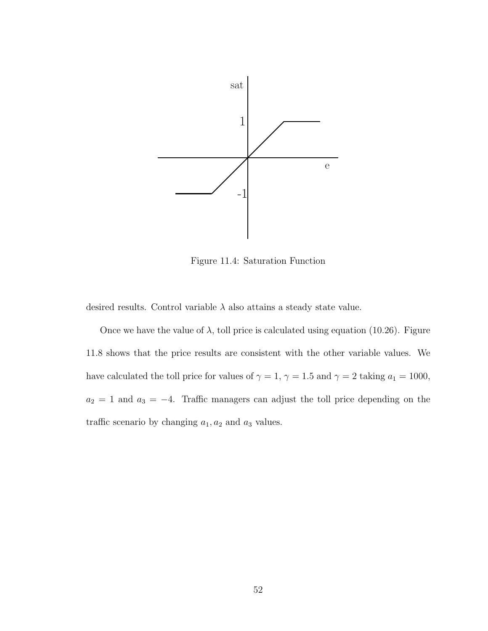

Figure 11.4: Saturation Function

desired results. Control variable  $\lambda$  also attains a steady state value.

Once we have the value of  $\lambda$ , toll price is calculated using equation (10.26). Figure 11.8 shows that the price results are consistent with the other variable values. We have calculated the toll price for values of  $\gamma = 1$ ,  $\gamma = 1.5$  and  $\gamma = 2$  taking  $a_1 = 1000$ ,  $a_2 = 1$  and  $a_3 = -4$ . Traffic managers can adjust the toll price depending on the traffic scenario by changing  $a_1, a_2$  and  $a_3$  values.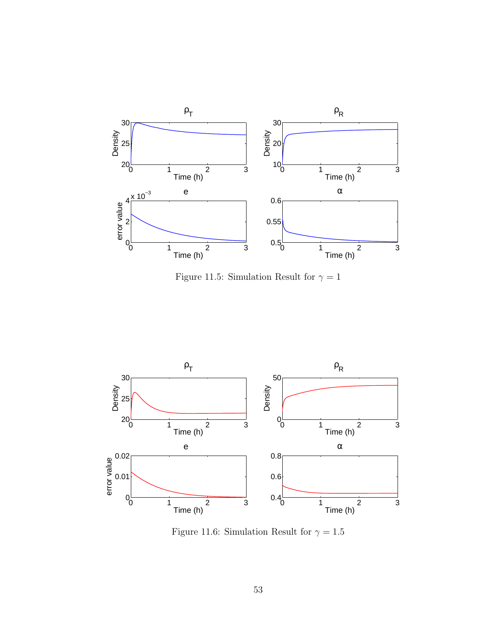

Figure 11.5: Simulation Result for  $\gamma=1$ 



Figure 11.6: Simulation Result for  $\gamma=1.5$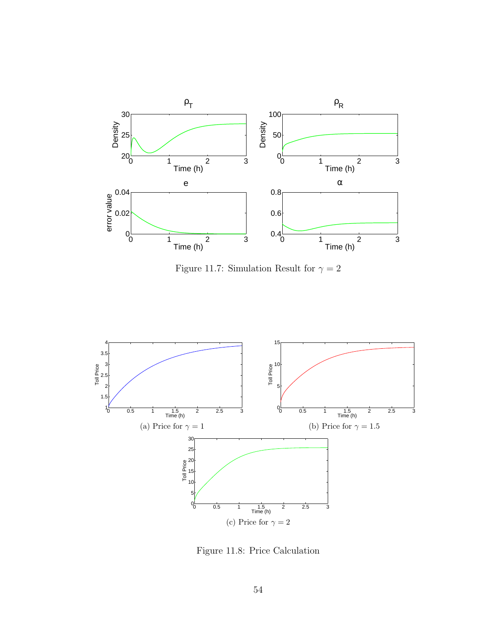

Figure 11.7: Simulation Result for  $\gamma = 2$ 



Figure 11.8: Price Calculation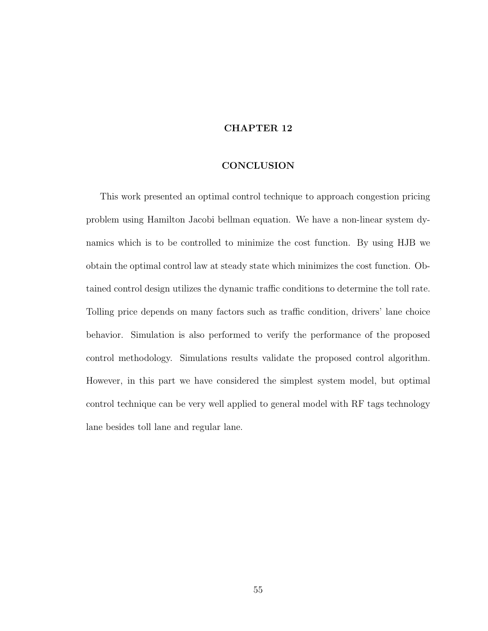#### **CONCLUSION**

This work presented an optimal control technique to approach congestion pricing problem using Hamilton Jacobi bellman equation. We have a non-linear system dynamics which is to be controlled to minimize the cost function. By using HJB we obtain the optimal control law at steady state which minimizes the cost function. Obtained control design utilizes the dynamic traffic conditions to determine the toll rate. Tolling price depends on many factors such as traffic condition, drivers' lane choice behavior. Simulation is also performed to verify the performance of the proposed control methodology. Simulations results validate the proposed control algorithm. However, in this part we have considered the simplest system model, but optimal control technique can be very well applied to general model with RF tags technology lane besides toll lane and regular lane.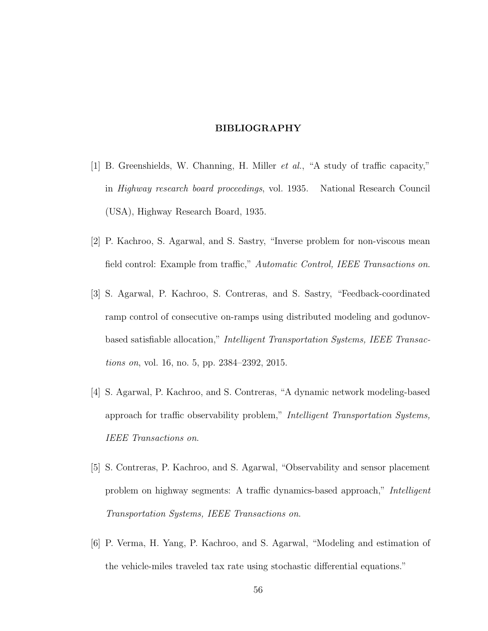# BIBLIOGRAPHY

- [1] B. Greenshields, W. Channing, H. Miller et al., "A study of traffic capacity," in Highway research board proceedings, vol. 1935. National Research Council (USA), Highway Research Board, 1935.
- [2] P. Kachroo, S. Agarwal, and S. Sastry, "Inverse problem for non-viscous mean field control: Example from traffic," Automatic Control, IEEE Transactions on.
- [3] S. Agarwal, P. Kachroo, S. Contreras, and S. Sastry, "Feedback-coordinated ramp control of consecutive on-ramps using distributed modeling and godunovbased satisfiable allocation," Intelligent Transportation Systems, IEEE Transactions on, vol. 16, no. 5, pp. 2384–2392, 2015.
- [4] S. Agarwal, P. Kachroo, and S. Contreras, "A dynamic network modeling-based approach for traffic observability problem," Intelligent Transportation Systems, IEEE Transactions on.
- [5] S. Contreras, P. Kachroo, and S. Agarwal, "Observability and sensor placement problem on highway segments: A traffic dynamics-based approach," Intelligent Transportation Systems, IEEE Transactions on.
- [6] P. Verma, H. Yang, P. Kachroo, and S. Agarwal, "Modeling and estimation of the vehicle-miles traveled tax rate using stochastic differential equations."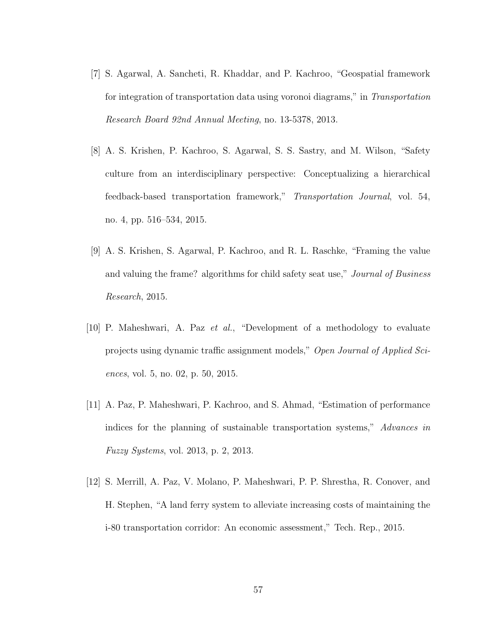- [7] S. Agarwal, A. Sancheti, R. Khaddar, and P. Kachroo, "Geospatial framework for integration of transportation data using voronoi diagrams," in Transportation Research Board 92nd Annual Meeting, no. 13-5378, 2013.
- [8] A. S. Krishen, P. Kachroo, S. Agarwal, S. S. Sastry, and M. Wilson, "Safety culture from an interdisciplinary perspective: Conceptualizing a hierarchical feedback-based transportation framework," Transportation Journal, vol. 54, no. 4, pp. 516–534, 2015.
- [9] A. S. Krishen, S. Agarwal, P. Kachroo, and R. L. Raschke, "Framing the value and valuing the frame? algorithms for child safety seat use," Journal of Business Research, 2015.
- [10] P. Maheshwari, A. Paz et al., "Development of a methodology to evaluate projects using dynamic traffic assignment models," Open Journal of Applied Sciences, vol. 5, no. 02, p. 50, 2015.
- [11] A. Paz, P. Maheshwari, P. Kachroo, and S. Ahmad, "Estimation of performance indices for the planning of sustainable transportation systems," Advances in Fuzzy Systems, vol. 2013, p. 2, 2013.
- [12] S. Merrill, A. Paz, V. Molano, P. Maheshwari, P. P. Shrestha, R. Conover, and H. Stephen, "A land ferry system to alleviate increasing costs of maintaining the i-80 transportation corridor: An economic assessment," Tech. Rep., 2015.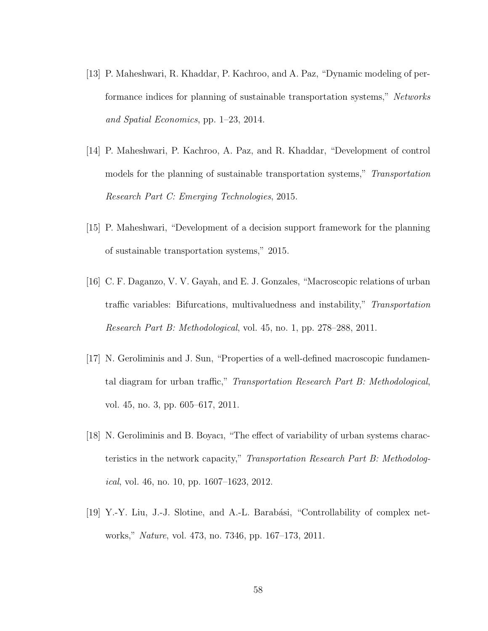- [13] P. Maheshwari, R. Khaddar, P. Kachroo, and A. Paz, "Dynamic modeling of performance indices for planning of sustainable transportation systems," Networks and Spatial Economics, pp. 1–23, 2014.
- [14] P. Maheshwari, P. Kachroo, A. Paz, and R. Khaddar, "Development of control models for the planning of sustainable transportation systems," Transportation Research Part C: Emerging Technologies, 2015.
- [15] P. Maheshwari, "Development of a decision support framework for the planning of sustainable transportation systems," 2015.
- [16] C. F. Daganzo, V. V. Gayah, and E. J. Gonzales, "Macroscopic relations of urban traffic variables: Bifurcations, multivaluedness and instability," Transportation Research Part B: Methodological, vol. 45, no. 1, pp. 278–288, 2011.
- [17] N. Geroliminis and J. Sun, "Properties of a well-defined macroscopic fundamental diagram for urban traffic," Transportation Research Part B: Methodological, vol. 45, no. 3, pp. 605–617, 2011.
- [18] N. Geroliminis and B. Boyacı, "The effect of variability of urban systems characteristics in the network capacity," Transportation Research Part B: Methodolog*ical*, vol. 46, no. 10, pp.  $1607-1623$ , 2012.
- [19] Y.-Y. Liu, J.-J. Slotine, and A.-L. Barabási, "Controllability of complex networks," Nature, vol. 473, no. 7346, pp. 167–173, 2011.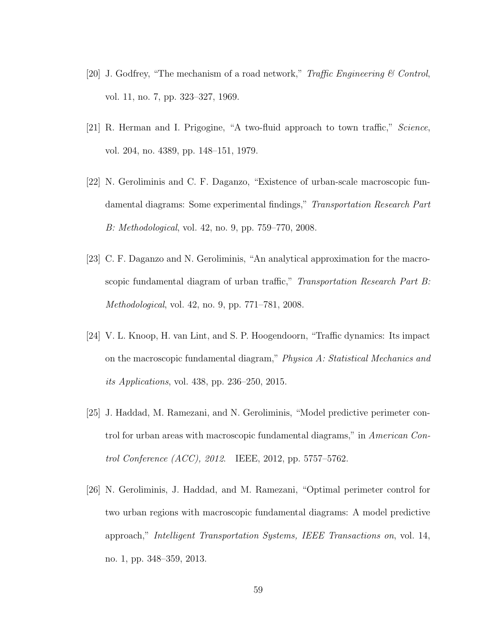- [20] J. Godfrey, "The mechanism of a road network," Traffic Engineering & Control, vol. 11, no. 7, pp. 323–327, 1969.
- [21] R. Herman and I. Prigogine, "A two-fluid approach to town traffic," Science, vol. 204, no. 4389, pp. 148–151, 1979.
- [22] N. Geroliminis and C. F. Daganzo, "Existence of urban-scale macroscopic fundamental diagrams: Some experimental findings," Transportation Research Part B: Methodological, vol. 42, no. 9, pp. 759–770, 2008.
- [23] C. F. Daganzo and N. Geroliminis, "An analytical approximation for the macroscopic fundamental diagram of urban traffic," Transportation Research Part B: Methodological, vol. 42, no. 9, pp. 771–781, 2008.
- [24] V. L. Knoop, H. van Lint, and S. P. Hoogendoorn, "Traffic dynamics: Its impact on the macroscopic fundamental diagram," Physica A: Statistical Mechanics and its Applications, vol. 438, pp. 236–250, 2015.
- [25] J. Haddad, M. Ramezani, and N. Geroliminis, "Model predictive perimeter control for urban areas with macroscopic fundamental diagrams," in American Control Conference (ACC), 2012. IEEE, 2012, pp. 5757–5762.
- [26] N. Geroliminis, J. Haddad, and M. Ramezani, "Optimal perimeter control for two urban regions with macroscopic fundamental diagrams: A model predictive approach," Intelligent Transportation Systems, IEEE Transactions on, vol. 14, no. 1, pp. 348–359, 2013.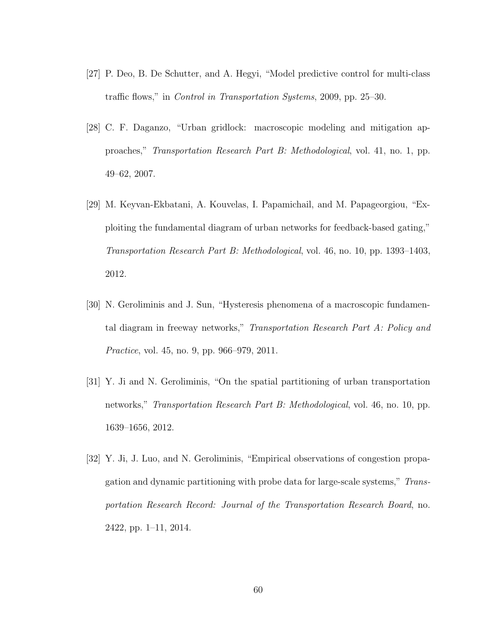- [27] P. Deo, B. De Schutter, and A. Hegyi, "Model predictive control for multi-class traffic flows," in Control in Transportation Systems, 2009, pp. 25–30.
- [28] C. F. Daganzo, "Urban gridlock: macroscopic modeling and mitigation approaches," Transportation Research Part B: Methodological, vol. 41, no. 1, pp. 49–62, 2007.
- [29] M. Keyvan-Ekbatani, A. Kouvelas, I. Papamichail, and M. Papageorgiou, "Exploiting the fundamental diagram of urban networks for feedback-based gating," Transportation Research Part B: Methodological, vol. 46, no. 10, pp. 1393–1403, 2012.
- [30] N. Geroliminis and J. Sun, "Hysteresis phenomena of a macroscopic fundamental diagram in freeway networks," Transportation Research Part A: Policy and Practice, vol. 45, no. 9, pp. 966–979, 2011.
- [31] Y. Ji and N. Geroliminis, "On the spatial partitioning of urban transportation networks," Transportation Research Part B: Methodological, vol. 46, no. 10, pp. 1639–1656, 2012.
- [32] Y. Ji, J. Luo, and N. Geroliminis, "Empirical observations of congestion propagation and dynamic partitioning with probe data for large-scale systems," Transportation Research Record: Journal of the Transportation Research Board, no. 2422, pp. 1–11, 2014.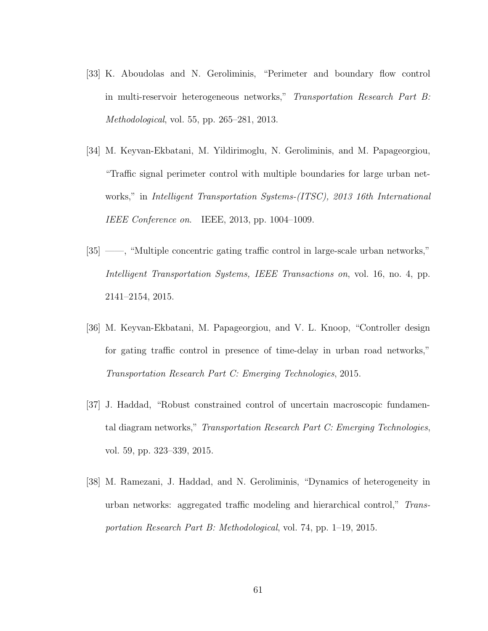- [33] K. Aboudolas and N. Geroliminis, "Perimeter and boundary flow control in multi-reservoir heterogeneous networks," Transportation Research Part B: Methodological, vol. 55, pp. 265–281, 2013.
- [34] M. Keyvan-Ekbatani, M. Yildirimoglu, N. Geroliminis, and M. Papageorgiou, "Traffic signal perimeter control with multiple boundaries for large urban networks," in Intelligent Transportation Systems-(ITSC), 2013 16th International IEEE Conference on. IEEE, 2013, pp. 1004–1009.
- [35] ——, "Multiple concentric gating traffic control in large-scale urban networks," Intelligent Transportation Systems, IEEE Transactions on, vol. 16, no. 4, pp. 2141–2154, 2015.
- [36] M. Keyvan-Ekbatani, M. Papageorgiou, and V. L. Knoop, "Controller design for gating traffic control in presence of time-delay in urban road networks," Transportation Research Part C: Emerging Technologies, 2015.
- [37] J. Haddad, "Robust constrained control of uncertain macroscopic fundamental diagram networks," Transportation Research Part C: Emerging Technologies, vol. 59, pp. 323–339, 2015.
- [38] M. Ramezani, J. Haddad, and N. Geroliminis, "Dynamics of heterogeneity in urban networks: aggregated traffic modeling and hierarchical control," Transportation Research Part B: Methodological, vol. 74, pp. 1–19, 2015.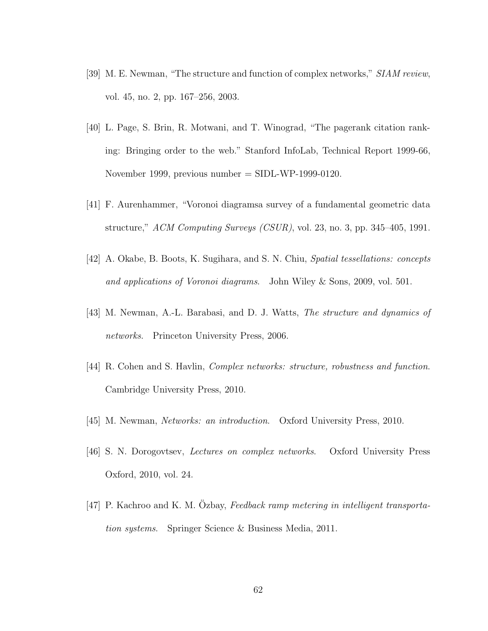- [39] M. E. Newman, "The structure and function of complex networks," SIAM review, vol. 45, no. 2, pp. 167–256, 2003.
- [40] L. Page, S. Brin, R. Motwani, and T. Winograd, "The pagerank citation ranking: Bringing order to the web." Stanford InfoLab, Technical Report 1999-66, November 1999, previous number  $=$  SIDL-WP-1999-0120.
- [41] F. Aurenhammer, "Voronoi diagramsa survey of a fundamental geometric data structure," ACM Computing Surveys (CSUR), vol. 23, no. 3, pp. 345–405, 1991.
- [42] A. Okabe, B. Boots, K. Sugihara, and S. N. Chiu, Spatial tessellations: concepts and applications of Voronoi diagrams. John Wiley & Sons, 2009, vol. 501.
- [43] M. Newman, A.-L. Barabasi, and D. J. Watts, The structure and dynamics of networks. Princeton University Press, 2006.
- [44] R. Cohen and S. Havlin, Complex networks: structure, robustness and function. Cambridge University Press, 2010.
- [45] M. Newman, Networks: an introduction. Oxford University Press, 2010.
- [46] S. N. Dorogovtsev, Lectures on complex networks. Oxford University Press Oxford, 2010, vol. 24.
- [47] P. Kachroo and K. M. Ozbay, Feedback ramp metering in intelligent transportation systems. Springer Science & Business Media, 2011.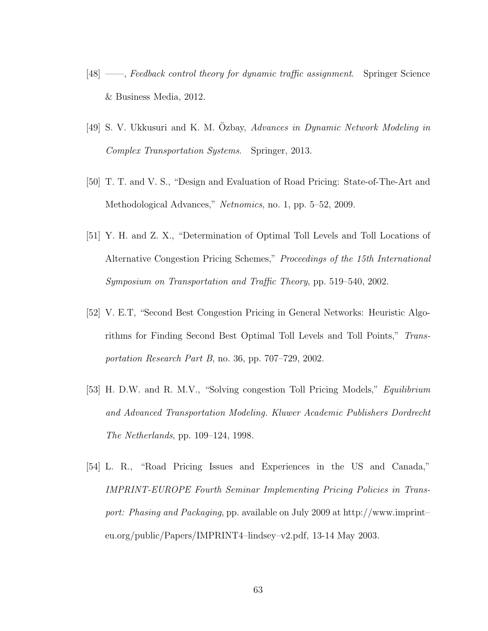- [48] ——, Feedback control theory for dynamic traffic assignment. Springer Science & Business Media, 2012.
- [49] S. V. Ukkusuri and K. M. Ozbay, Advances in Dynamic Network Modeling in Complex Transportation Systems. Springer, 2013.
- [50] T. T. and V. S., "Design and Evaluation of Road Pricing: State-of-The-Art and Methodological Advances," Netnomics, no. 1, pp. 5–52, 2009.
- [51] Y. H. and Z. X., "Determination of Optimal Toll Levels and Toll Locations of Alternative Congestion Pricing Schemes," Proceedings of the 15th International Symposium on Transportation and Traffic Theory, pp. 519–540, 2002.
- [52] V. E.T, "Second Best Congestion Pricing in General Networks: Heuristic Algorithms for Finding Second Best Optimal Toll Levels and Toll Points," Transportation Research Part B, no. 36, pp. 707–729, 2002.
- [53] H. D.W. and R. M.V., "Solving congestion Toll Pricing Models," Equilibrium and Advanced Transportation Modeling. Kluwer Academic Publishers Dordrecht The Netherlands, pp. 109–124, 1998.
- [54] L. R., "Road Pricing Issues and Experiences in the US and Canada," IMPRINT-EUROPE Fourth Seminar Implementing Pricing Policies in Transport: Phasing and Packaging, pp. available on July 2009 at http://www.imprint– eu.org/public/Papers/IMPRINT4–lindsey–v2.pdf, 13-14 May 2003.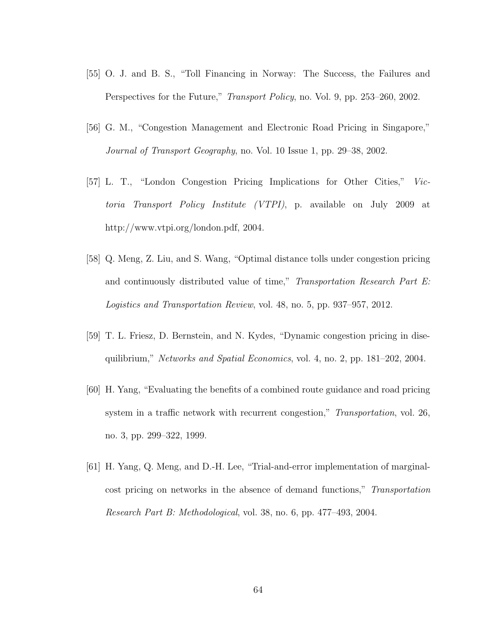- [55] O. J. and B. S., "Toll Financing in Norway: The Success, the Failures and Perspectives for the Future," *Transport Policy*, no. Vol. 9, pp. 253–260, 2002.
- [56] G. M., "Congestion Management and Electronic Road Pricing in Singapore," Journal of Transport Geography, no. Vol. 10 Issue 1, pp. 29–38, 2002.
- [57] L. T., "London Congestion Pricing Implications for Other Cities," Victoria Transport Policy Institute (VTPI), p. available on July 2009 at http://www.vtpi.org/london.pdf, 2004.
- [58] Q. Meng, Z. Liu, and S. Wang, "Optimal distance tolls under congestion pricing and continuously distributed value of time," Transportation Research Part E: Logistics and Transportation Review, vol. 48, no. 5, pp. 937–957, 2012.
- [59] T. L. Friesz, D. Bernstein, and N. Kydes, "Dynamic congestion pricing in disequilibrium," Networks and Spatial Economics, vol. 4, no. 2, pp. 181–202, 2004.
- [60] H. Yang, "Evaluating the benefits of a combined route guidance and road pricing system in a traffic network with recurrent congestion," Transportation, vol. 26, no. 3, pp. 299–322, 1999.
- [61] H. Yang, Q. Meng, and D.-H. Lee, "Trial-and-error implementation of marginalcost pricing on networks in the absence of demand functions," Transportation Research Part B: Methodological, vol. 38, no. 6, pp. 477–493, 2004.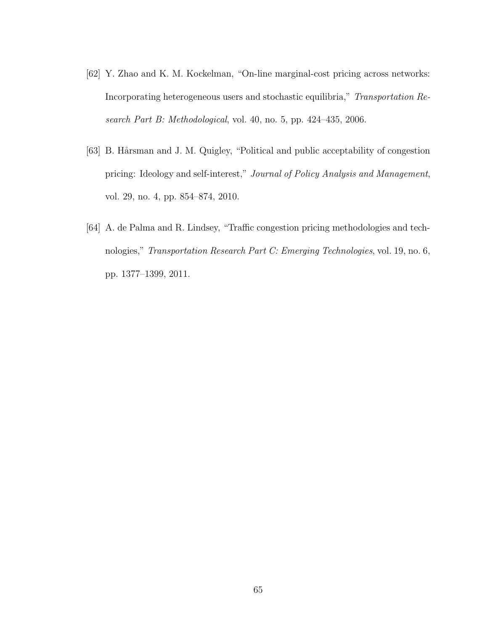- [62] Y. Zhao and K. M. Kockelman, "On-line marginal-cost pricing across networks: Incorporating heterogeneous users and stochastic equilibria," Transportation Research Part B: Methodological, vol. 40, no. 5, pp. 424–435, 2006.
- [63] B. Hårsman and J. M. Quigley, "Political and public acceptability of congestion pricing: Ideology and self-interest," Journal of Policy Analysis and Management, vol. 29, no. 4, pp. 854–874, 2010.
- [64] A. de Palma and R. Lindsey, "Traffic congestion pricing methodologies and technologies," Transportation Research Part C: Emerging Technologies, vol. 19, no. 6, pp. 1377–1399, 2011.